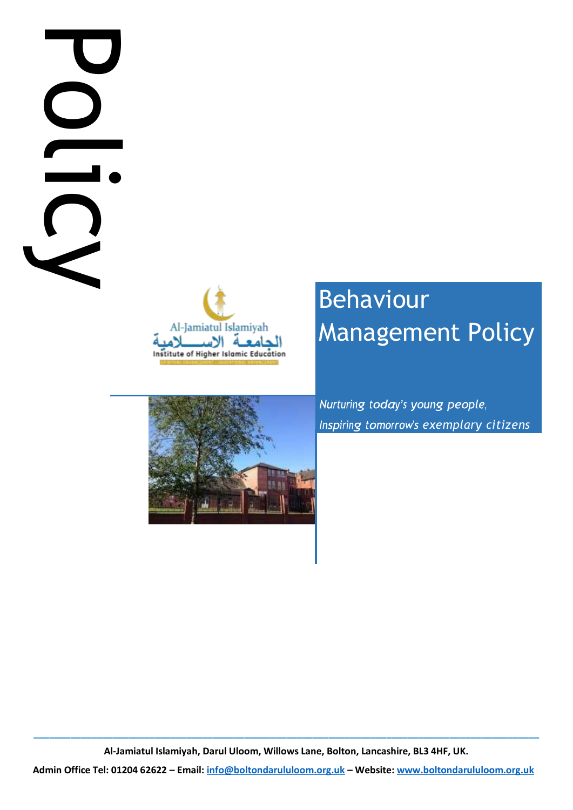# **Administrational Email:**<br>
Administrational Content Content Content Content Content Content Content Content Content Content Content Content Content Content Content Content Content Content Content Content Content Content Co



# Behaviour Management Policy

*Inspiring tomorrow's exemplary citizens* 

**\_\_\_\_\_\_\_\_\_\_\_\_\_\_\_\_\_\_\_\_\_\_\_\_\_\_\_\_\_\_\_\_\_\_\_\_\_\_\_\_\_\_\_\_\_\_\_\_\_\_\_\_\_\_\_\_\_\_\_\_\_\_\_\_\_\_\_\_\_\_\_\_\_\_\_\_\_\_\_\_\_\_\_\_\_\_\_\_\_\_\_\_\_\_\_\_ Al-Jamiatul Islamiyah, Darul Uloom, Willows Lane, Bolton, Lancashire, BL3 4HF, UK.**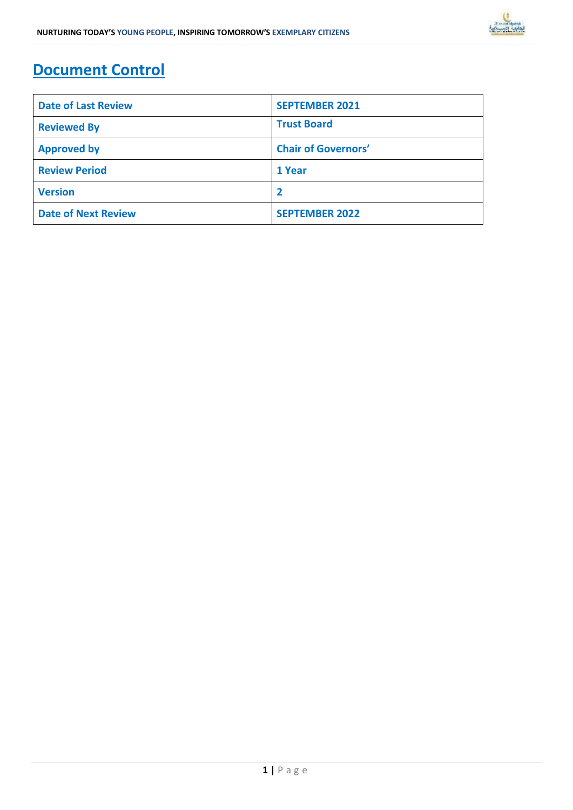

### **Document Control**

| <b>Date of Last Review</b> | <b>SEPTEMBER 2021</b>      |
|----------------------------|----------------------------|
| <b>Reviewed By</b>         | <b>Trust Board</b>         |
| <b>Approved by</b>         | <b>Chair of Governors'</b> |
| <b>Review Period</b>       | 1 Year                     |
| <b>Version</b>             | -2                         |
| <b>Date of Next Review</b> | <b>SEPTEMBER 2022</b>      |

**\_\_\_\_\_\_\_\_\_\_\_\_\_\_\_\_\_\_\_\_\_\_\_\_\_\_\_\_\_\_\_\_\_\_\_\_\_\_\_\_\_\_\_\_\_\_\_\_\_\_\_\_\_\_\_\_\_\_\_\_\_\_\_\_\_\_\_\_\_\_\_\_\_\_\_\_\_\_\_\_\_\_\_\_\_\_\_\_\_\_\_\_\_\_\_\_\_\_\_\_\_\_\_\_\_\_\_\_\_\_\_\_\_\_\_\_\_\_\_\_\_\_\_\_\_\_\_\_\_\_\_\_\_\_\_\_\_\_\_\_\_\_\_\_\_\_\_\_\_\_\_\_\_\_\_\_\_\_\_\_\_\_\_\_\_\_\_\_\_\_\_\_\_\_\_\_\_\_\_\_\_\_\_\_\_\_\_\_\_\_\_\_\_\_\_\_\_\_\_\_\_\_\_\_\_\_\_\_\_\_\_\_\_\_\_\_\_\_\_\_\_\_\_\_\_\_\_\_\_\_\_\_\_\_\_\_\_\_\_\_\_\_\_\_\_\_\_\_\_\_\_\_\_\_\_\_\_\_\_\_\_\_\_\_\_\_\_\_\_\_\_\_\_\_\_\_\_\_\_\_\_\_\_\_\_\_\_\_\_\_\_\_\_\_\_\_\_\_\_\_\_\_\_\_\_\_\_\_\_\_\_\_\_\_\_\_\_\_\_\_\_\_\_\_\_\_\_\_\_\_\_\_\_\_\_\_\_\_\_\_\_\_\_\_\_\_\_\_\_\_**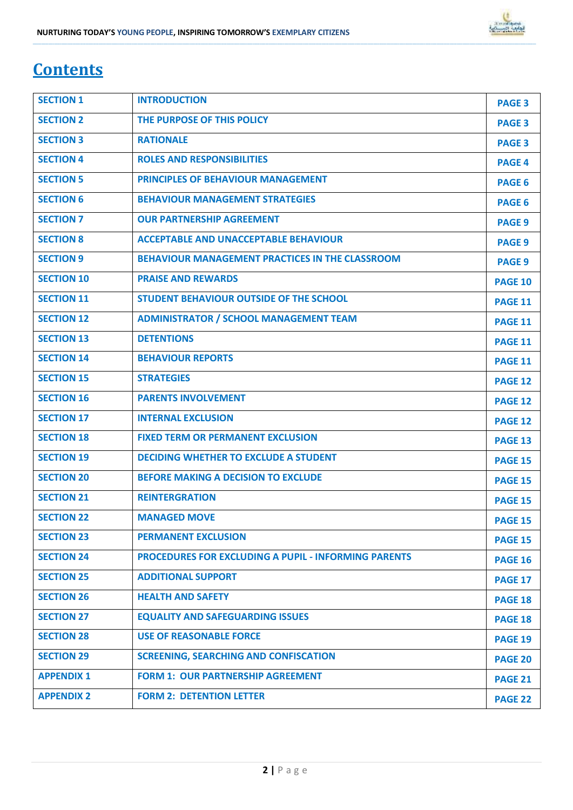## **Contents**

| <b>SECTION 1</b>  | <b>INTRODUCTION</b>                                         | <b>PAGE 3</b>  |
|-------------------|-------------------------------------------------------------|----------------|
| <b>SECTION 2</b>  | THE PURPOSE OF THIS POLICY                                  | <b>PAGE 3</b>  |
| <b>SECTION 3</b>  | <b>RATIONALE</b>                                            | <b>PAGE 3</b>  |
| <b>SECTION 4</b>  | <b>ROLES AND RESPONSIBILITIES</b>                           | <b>PAGE 4</b>  |
| <b>SECTION 5</b>  | <b>PRINCIPLES OF BEHAVIOUR MANAGEMENT</b>                   | <b>PAGE 6</b>  |
| <b>SECTION 6</b>  | <b>BEHAVIOUR MANAGEMENT STRATEGIES</b>                      | <b>PAGE 6</b>  |
| <b>SECTION 7</b>  | <b>OUR PARTNERSHIP AGREEMENT</b>                            | <b>PAGE 9</b>  |
| <b>SECTION 8</b>  | <b>ACCEPTABLE AND UNACCEPTABLE BEHAVIOUR</b>                | <b>PAGE 9</b>  |
| <b>SECTION 9</b>  | BEHAVIOUR MANAGEMENT PRACTICES IN THE CLASSROOM             | <b>PAGE 9</b>  |
| <b>SECTION 10</b> | <b>PRAISE AND REWARDS</b>                                   | <b>PAGE 10</b> |
| <b>SECTION 11</b> | STUDENT BEHAVIOUR OUTSIDE OF THE SCHOOL                     | <b>PAGE 11</b> |
| <b>SECTION 12</b> | <b>ADMINISTRATOR / SCHOOL MANAGEMENT TEAM</b>               | <b>PAGE 11</b> |
| <b>SECTION 13</b> | <b>DETENTIONS</b>                                           | <b>PAGE 11</b> |
| <b>SECTION 14</b> | <b>BEHAVIOUR REPORTS</b>                                    | <b>PAGE 11</b> |
| <b>SECTION 15</b> | <b>STRATEGIES</b>                                           | <b>PAGE 12</b> |
| <b>SECTION 16</b> | <b>PARENTS INVOLVEMENT</b>                                  | <b>PAGE 12</b> |
| <b>SECTION 17</b> | <b>INTERNAL EXCLUSION</b>                                   | <b>PAGE 12</b> |
| <b>SECTION 18</b> | <b>FIXED TERM OR PERMANENT EXCLUSION</b>                    | <b>PAGE 13</b> |
| <b>SECTION 19</b> | <b>DECIDING WHETHER TO EXCLUDE A STUDENT</b>                | <b>PAGE 15</b> |
| <b>SECTION 20</b> | <b>BEFORE MAKING A DECISION TO EXCLUDE</b>                  | <b>PAGE 15</b> |
| <b>SECTION 21</b> | <b>REINTERGRATION</b>                                       | <b>PAGE 15</b> |
| <b>SECTION 22</b> | <b>MANAGED MOVE</b>                                         | <b>PAGE 15</b> |
| <b>SECTION 23</b> | <b>PERMANENT EXCLUSION</b>                                  | <b>PAGE 15</b> |
| <b>SECTION 24</b> | <b>PROCEDURES FOR EXCLUDING A PUPIL - INFORMING PARENTS</b> | <b>PAGE 16</b> |
| <b>SECTION 25</b> | <b>ADDITIONAL SUPPORT</b>                                   | <b>PAGE 17</b> |
| <b>SECTION 26</b> | <b>HEALTH AND SAFETY</b>                                    | <b>PAGE 18</b> |
| <b>SECTION 27</b> | <b>EQUALITY AND SAFEGUARDING ISSUES</b>                     | <b>PAGE 18</b> |
| <b>SECTION 28</b> | <b>USE OF REASONABLE FORCE</b>                              | <b>PAGE 19</b> |
| <b>SECTION 29</b> | <b>SCREENING, SEARCHING AND CONFISCATION</b>                | <b>PAGE 20</b> |
| <b>APPENDIX 1</b> | <b>FORM 1: OUR PARTNERSHIP AGREEMENT</b>                    | <b>PAGE 21</b> |
| <b>APPENDIX 2</b> | <b>FORM 2: DETENTION LETTER</b>                             | PAGE 22        |

**\_\_\_\_\_\_\_\_\_\_\_\_\_\_\_\_\_\_\_\_\_\_\_\_\_\_\_\_\_\_\_\_\_\_\_\_\_\_\_\_\_\_\_\_\_\_\_\_\_\_\_\_\_\_\_\_\_\_\_\_\_\_\_\_\_\_\_\_\_\_\_\_\_\_\_\_\_\_\_\_\_\_\_\_\_\_\_\_\_\_\_\_\_\_\_\_\_\_\_\_\_\_\_\_\_\_\_\_\_\_\_\_\_\_\_\_\_\_\_\_\_\_\_\_\_\_\_\_\_\_\_\_\_\_\_\_\_\_\_\_\_\_\_\_\_\_\_\_\_\_\_\_\_\_\_\_\_\_\_\_\_\_\_\_\_\_\_\_\_\_\_\_\_\_\_\_\_\_\_\_\_\_\_\_\_\_\_\_\_\_\_\_\_\_\_\_\_\_\_\_\_\_\_\_\_\_\_\_\_\_\_\_\_\_\_\_\_\_\_\_\_\_\_\_\_\_\_\_\_\_\_\_\_\_\_\_\_\_\_\_\_\_\_\_\_\_\_\_\_\_\_\_\_\_\_\_\_\_\_\_\_\_\_\_\_\_\_\_\_\_\_\_\_\_\_\_\_\_\_\_\_\_\_\_\_\_\_\_\_\_\_\_\_\_\_\_\_\_\_\_\_\_\_\_\_\_\_\_\_\_\_\_\_\_\_\_\_\_\_\_\_\_\_\_\_\_\_\_\_\_\_\_\_\_\_\_\_\_\_\_\_\_\_\_\_\_\_\_\_\_**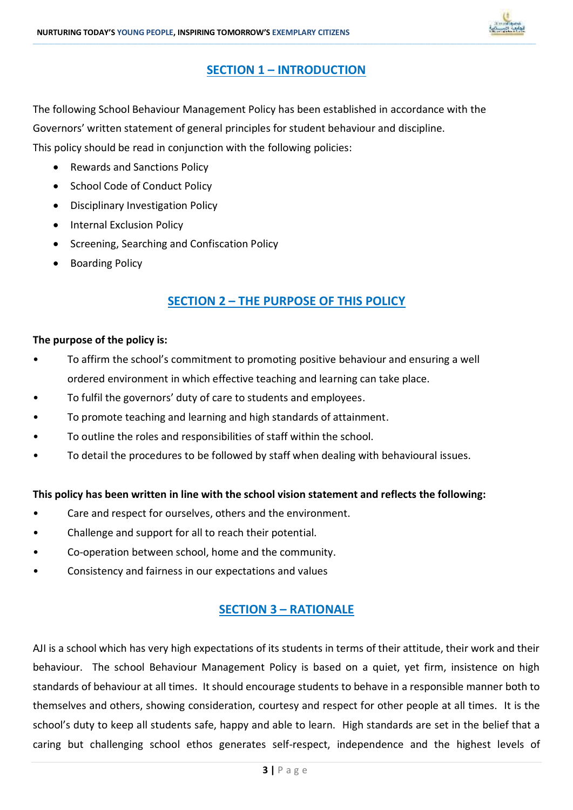

### **SECTION 1 – INTRODUCTION**

**\_\_\_\_\_\_\_\_\_\_\_\_\_\_\_\_\_\_\_\_\_\_\_\_\_\_\_\_\_\_\_\_\_\_\_\_\_\_\_\_\_\_\_\_\_\_\_\_\_\_\_\_\_\_\_\_\_\_\_\_\_\_\_\_\_\_\_\_\_\_\_\_\_\_\_\_\_\_\_\_\_\_\_\_\_\_\_\_\_\_\_\_\_\_\_\_\_\_\_\_\_\_\_\_\_\_\_\_\_\_\_\_\_\_\_\_\_\_\_\_\_\_\_\_\_\_\_\_\_\_\_\_\_\_\_\_\_\_\_\_\_\_\_\_\_\_\_\_\_\_\_\_\_\_\_\_\_\_\_\_\_\_\_\_\_\_\_\_\_\_\_\_\_\_\_\_\_\_\_\_\_\_\_\_\_\_\_\_\_\_\_\_\_\_\_\_\_\_\_\_\_\_\_\_\_\_\_\_\_\_\_\_\_\_\_\_\_\_\_\_\_\_\_\_\_\_\_\_\_\_\_\_\_\_\_\_\_\_\_\_\_\_\_\_\_\_\_\_\_\_\_\_\_\_\_\_\_\_\_\_\_\_\_\_\_\_\_\_\_\_\_\_\_\_\_\_\_\_\_\_\_\_\_\_\_\_\_\_\_\_\_\_\_\_\_\_\_\_\_\_\_\_\_\_\_\_\_\_\_\_\_\_\_\_\_\_\_\_\_\_\_\_\_\_\_\_\_\_\_\_\_\_\_\_\_\_\_\_\_\_\_\_\_\_\_\_\_\_\_\_**

The following School Behaviour Management Policy has been established in accordance with the Governors' written statement of general principles for student behaviour and discipline. This policy should be read in conjunction with the following policies:

- Rewards and Sanctions Policy
- School Code of Conduct Policy
- Disciplinary Investigation Policy
- Internal Exclusion Policy
- Screening, Searching and Confiscation Policy
- Boarding Policy

### **SECTION 2 – THE PURPOSE OF THIS POLICY**

### **The purpose of the policy is:**

- To affirm the school's commitment to promoting positive behaviour and ensuring a well ordered environment in which effective teaching and learning can take place.
- To fulfil the governors' duty of care to students and employees.
- To promote teaching and learning and high standards of attainment.
- To outline the roles and responsibilities of staff within the school.
- To detail the procedures to be followed by staff when dealing with behavioural issues.

### **This policy has been written in line with the school vision statement and reflects the following:**

- Care and respect for ourselves, others and the environment.
- Challenge and support for all to reach their potential.
- Co-operation between school, home and the community.
- Consistency and fairness in our expectations and values

### **SECTION 3 – RATIONALE**

AJI is a school which has very high expectations of its students in terms of their attitude, their work and their behaviour. The school Behaviour Management Policy is based on a quiet, yet firm, insistence on high standards of behaviour at all times. It should encourage students to behave in a responsible manner both to themselves and others, showing consideration, courtesy and respect for other people at all times. It is the school's duty to keep all students safe, happy and able to learn. High standards are set in the belief that a caring but challenging school ethos generates self-respect, independence and the highest levels of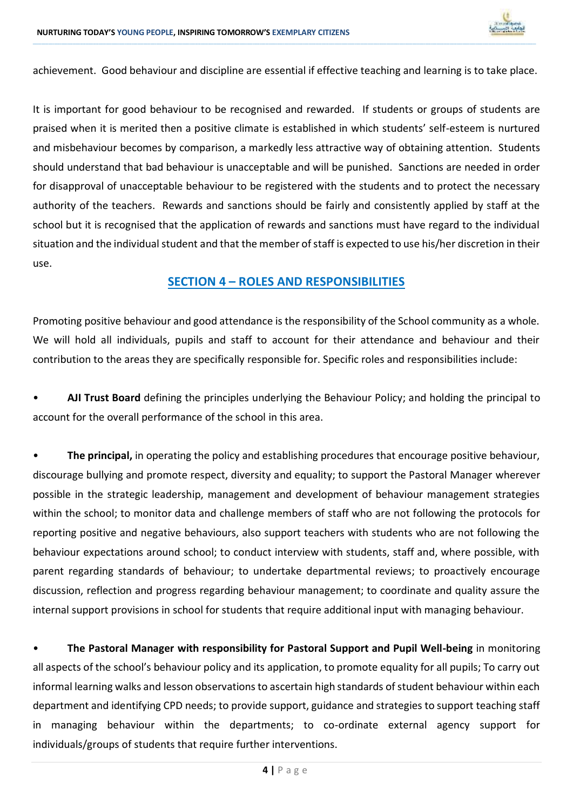

achievement. Good behaviour and discipline are essential if effective teaching and learning is to take place.

**\_\_\_\_\_\_\_\_\_\_\_\_\_\_\_\_\_\_\_\_\_\_\_\_\_\_\_\_\_\_\_\_\_\_\_\_\_\_\_\_\_\_\_\_\_\_\_\_\_\_\_\_\_\_\_\_\_\_\_\_\_\_\_\_\_\_\_\_\_\_\_\_\_\_\_\_\_\_\_\_\_\_\_\_\_\_\_\_\_\_\_\_\_\_\_\_\_\_\_\_\_\_\_\_\_\_\_\_\_\_\_\_\_\_\_\_\_\_\_\_\_\_\_\_\_\_\_\_\_\_\_\_\_\_\_\_\_\_\_\_\_\_\_\_\_\_\_\_\_\_\_\_\_\_\_\_\_\_\_\_\_\_\_\_\_\_\_\_\_\_\_\_\_\_\_\_\_\_\_\_\_\_\_\_\_\_\_\_\_\_\_\_\_\_\_\_\_\_\_\_\_\_\_\_\_\_\_\_\_\_\_\_\_\_\_\_\_\_\_\_\_\_\_\_\_\_\_\_\_\_\_\_\_\_\_\_\_\_\_\_\_\_\_\_\_\_\_\_\_\_\_\_\_\_\_\_\_\_\_\_\_\_\_\_\_\_\_\_\_\_\_\_\_\_\_\_\_\_\_\_\_\_\_\_\_\_\_\_\_\_\_\_\_\_\_\_\_\_\_\_\_\_\_\_\_\_\_\_\_\_\_\_\_\_\_\_\_\_\_\_\_\_\_\_\_\_\_\_\_\_\_\_\_\_\_\_\_\_\_\_\_\_\_\_\_\_\_\_\_\_**

It is important for good behaviour to be recognised and rewarded. If students or groups of students are praised when it is merited then a positive climate is established in which students' self-esteem is nurtured and misbehaviour becomes by comparison, a markedly less attractive way of obtaining attention. Students should understand that bad behaviour is unacceptable and will be punished. Sanctions are needed in order for disapproval of unacceptable behaviour to be registered with the students and to protect the necessary authority of the teachers. Rewards and sanctions should be fairly and consistently applied by staff at the school but it is recognised that the application of rewards and sanctions must have regard to the individual situation and the individual student and that the member of staff is expected to use his/her discretion in their use.

### **SECTION 4 – ROLES AND RESPONSIBILITIES**

Promoting positive behaviour and good attendance is the responsibility of the School community as a whole. We will hold all individuals, pupils and staff to account for their attendance and behaviour and their contribution to the areas they are specifically responsible for. Specific roles and responsibilities include:

• **AJI Trust Board** defining the principles underlying the Behaviour Policy; and holding the principal to account for the overall performance of the school in this area.

• **The principal,** in operating the policy and establishing procedures that encourage positive behaviour, discourage bullying and promote respect, diversity and equality; to support the Pastoral Manager wherever possible in the strategic leadership, management and development of behaviour management strategies within the school; to monitor data and challenge members of staff who are not following the protocols for reporting positive and negative behaviours, also support teachers with students who are not following the behaviour expectations around school; to conduct interview with students, staff and, where possible, with parent regarding standards of behaviour; to undertake departmental reviews; to proactively encourage discussion, reflection and progress regarding behaviour management; to coordinate and quality assure the internal support provisions in school for students that require additional input with managing behaviour.

• **The Pastoral Manager with responsibility for Pastoral Support and Pupil Well-being** in monitoring all aspects of the school's behaviour policy and its application, to promote equality for all pupils; To carry out informal learning walks and lesson observations to ascertain high standards of student behaviour within each department and identifying CPD needs; to provide support, guidance and strategies to support teaching staff in managing behaviour within the departments; to co-ordinate external agency support for individuals/groups of students that require further interventions.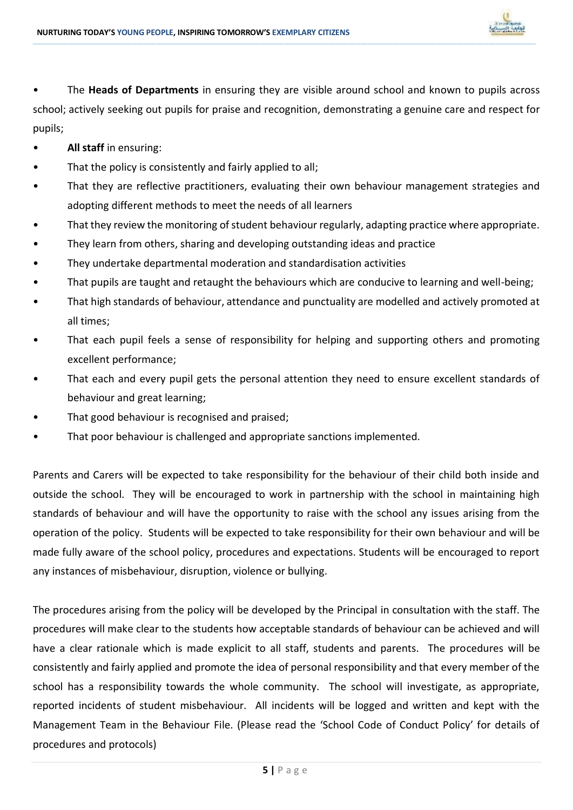

• The **Heads of Departments** in ensuring they are visible around school and known to pupils across school; actively seeking out pupils for praise and recognition, demonstrating a genuine care and respect for pupils;

**\_\_\_\_\_\_\_\_\_\_\_\_\_\_\_\_\_\_\_\_\_\_\_\_\_\_\_\_\_\_\_\_\_\_\_\_\_\_\_\_\_\_\_\_\_\_\_\_\_\_\_\_\_\_\_\_\_\_\_\_\_\_\_\_\_\_\_\_\_\_\_\_\_\_\_\_\_\_\_\_\_\_\_\_\_\_\_\_\_\_\_\_\_\_\_\_\_\_\_\_\_\_\_\_\_\_\_\_\_\_\_\_\_\_\_\_\_\_\_\_\_\_\_\_\_\_\_\_\_\_\_\_\_\_\_\_\_\_\_\_\_\_\_\_\_\_\_\_\_\_\_\_\_\_\_\_\_\_\_\_\_\_\_\_\_\_\_\_\_\_\_\_\_\_\_\_\_\_\_\_\_\_\_\_\_\_\_\_\_\_\_\_\_\_\_\_\_\_\_\_\_\_\_\_\_\_\_\_\_\_\_\_\_\_\_\_\_\_\_\_\_\_\_\_\_\_\_\_\_\_\_\_\_\_\_\_\_\_\_\_\_\_\_\_\_\_\_\_\_\_\_\_\_\_\_\_\_\_\_\_\_\_\_\_\_\_\_\_\_\_\_\_\_\_\_\_\_\_\_\_\_\_\_\_\_\_\_\_\_\_\_\_\_\_\_\_\_\_\_\_\_\_\_\_\_\_\_\_\_\_\_\_\_\_\_\_\_\_\_\_\_\_\_\_\_\_\_\_\_\_\_\_\_\_\_\_\_\_\_\_\_\_\_\_\_\_\_\_\_\_**

- **All staff** in ensuring:
- That the policy is consistently and fairly applied to all;
- That they are reflective practitioners, evaluating their own behaviour management strategies and adopting different methods to meet the needs of all learners
- That they review the monitoring of student behaviour regularly, adapting practice where appropriate.
- They learn from others, sharing and developing outstanding ideas and practice
- They undertake departmental moderation and standardisation activities
- That pupils are taught and retaught the behaviours which are conducive to learning and well-being;
- That high standards of behaviour, attendance and punctuality are modelled and actively promoted at all times;
- That each pupil feels a sense of responsibility for helping and supporting others and promoting excellent performance;
- That each and every pupil gets the personal attention they need to ensure excellent standards of behaviour and great learning;
- That good behaviour is recognised and praised;
- That poor behaviour is challenged and appropriate sanctions implemented.

Parents and Carers will be expected to take responsibility for the behaviour of their child both inside and outside the school. They will be encouraged to work in partnership with the school in maintaining high standards of behaviour and will have the opportunity to raise with the school any issues arising from the operation of the policy. Students will be expected to take responsibility for their own behaviour and will be made fully aware of the school policy, procedures and expectations. Students will be encouraged to report any instances of misbehaviour, disruption, violence or bullying.

The procedures arising from the policy will be developed by the Principal in consultation with the staff. The procedures will make clear to the students how acceptable standards of behaviour can be achieved and will have a clear rationale which is made explicit to all staff, students and parents. The procedures will be consistently and fairly applied and promote the idea of personal responsibility and that every member of the school has a responsibility towards the whole community. The school will investigate, as appropriate, reported incidents of student misbehaviour. All incidents will be logged and written and kept with the Management Team in the Behaviour File. (Please read the 'School Code of Conduct Policy' for details of procedures and protocols)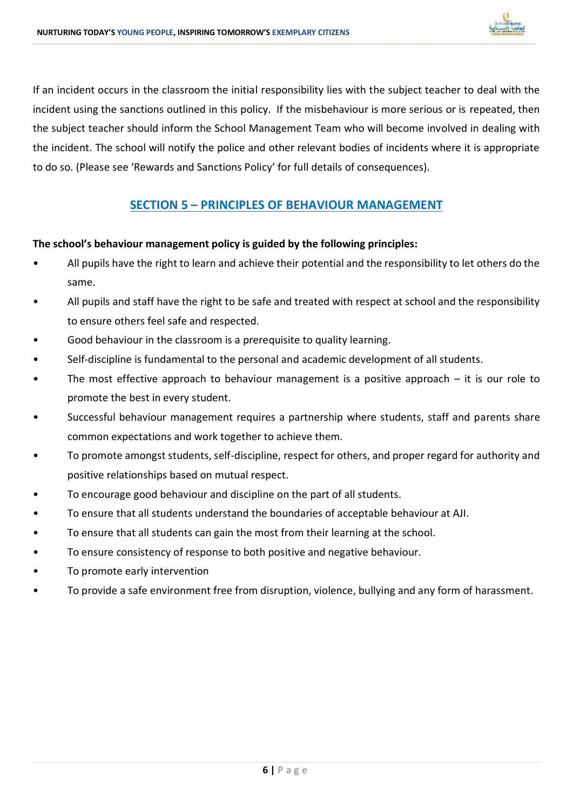

If an incident occurs in the classroom the initial responsibility lies with the subject teacher to deal with the incident using the sanctions outlined in this policy. If the misbehaviour is more serious or is repeated, then the subject teacher should inform the School Management Team who will become involved in dealing with the incident. The school will notify the police and other relevant bodies of incidents where it is appropriate to do so. (Please see 'Rewards and Sanctions Policy' for full details of consequences).

**\_\_\_\_\_\_\_\_\_\_\_\_\_\_\_\_\_\_\_\_\_\_\_\_\_\_\_\_\_\_\_\_\_\_\_\_\_\_\_\_\_\_\_\_\_\_\_\_\_\_\_\_\_\_\_\_\_\_\_\_\_\_\_\_\_\_\_\_\_\_\_\_\_\_\_\_\_\_\_\_\_\_\_\_\_\_\_\_\_\_\_\_\_\_\_\_\_\_\_\_\_\_\_\_\_\_\_\_\_\_\_\_\_\_\_\_\_\_\_\_\_\_\_\_\_\_\_\_\_\_\_\_\_\_\_\_\_\_\_\_\_\_\_\_\_\_\_\_\_\_\_\_\_\_\_\_\_\_\_\_\_\_\_\_\_\_\_\_\_\_\_\_\_\_\_\_\_\_\_\_\_\_\_\_\_\_\_\_\_\_\_\_\_\_\_\_\_\_\_\_\_\_\_\_\_\_\_\_\_\_\_\_\_\_\_\_\_\_\_\_\_\_\_\_\_\_\_\_\_\_\_\_\_\_\_\_\_\_\_\_\_\_\_\_\_\_\_\_\_\_\_\_\_\_\_\_\_\_\_\_\_\_\_\_\_\_\_\_\_\_\_\_\_\_\_\_\_\_\_\_\_\_\_\_\_\_\_\_\_\_\_\_\_\_\_\_\_\_\_\_\_\_\_\_\_\_\_\_\_\_\_\_\_\_\_\_\_\_\_\_\_\_\_\_\_\_\_\_\_\_\_\_\_\_\_\_\_\_\_\_\_\_\_\_\_\_\_\_\_\_**

### **SECTION 5 – PRINCIPLES OF BEHAVIOUR MANAGEMENT**

### **The school's behaviour management policy is guided by the following principles:**

- All pupils have the right to learn and achieve their potential and the responsibility to let others do the same.
- All pupils and staff have the right to be safe and treated with respect at school and the responsibility to ensure others feel safe and respected.
- Good behaviour in the classroom is a prerequisite to quality learning.
- Self-discipline is fundamental to the personal and academic development of all students.
- The most effective approach to behaviour management is a positive approach it is our role to promote the best in every student.
- Successful behaviour management requires a partnership where students, staff and parents share common expectations and work together to achieve them.
- To promote amongst students, self-discipline, respect for others, and proper regard for authority and positive relationships based on mutual respect.
- To encourage good behaviour and discipline on the part of all students.
- To ensure that all students understand the boundaries of acceptable behaviour at AJI.
- To ensure that all students can gain the most from their learning at the school.
- To ensure consistency of response to both positive and negative behaviour.
- To promote early intervention
- To provide a safe environment free from disruption, violence, bullying and any form of harassment.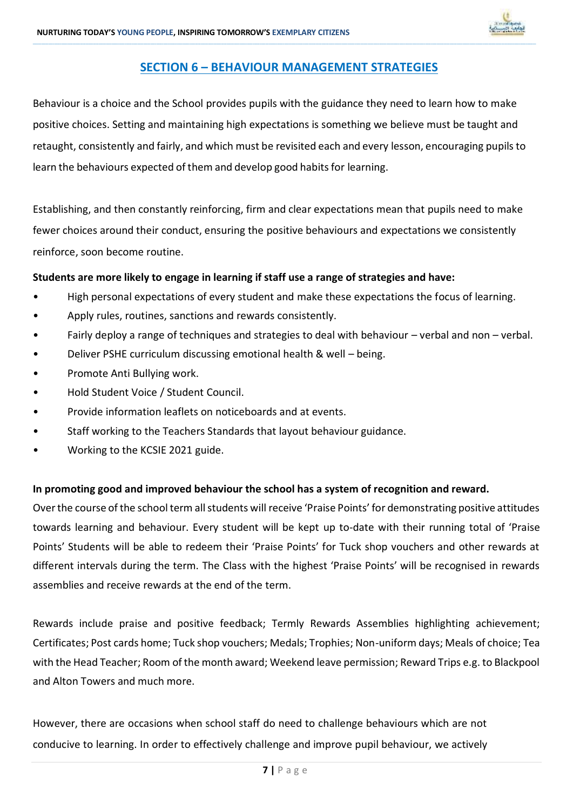

### **SECTION 6 – BEHAVIOUR MANAGEMENT STRATEGIES**

**\_\_\_\_\_\_\_\_\_\_\_\_\_\_\_\_\_\_\_\_\_\_\_\_\_\_\_\_\_\_\_\_\_\_\_\_\_\_\_\_\_\_\_\_\_\_\_\_\_\_\_\_\_\_\_\_\_\_\_\_\_\_\_\_\_\_\_\_\_\_\_\_\_\_\_\_\_\_\_\_\_\_\_\_\_\_\_\_\_\_\_\_\_\_\_\_\_\_\_\_\_\_\_\_\_\_\_\_\_\_\_\_\_\_\_\_\_\_\_\_\_\_\_\_\_\_\_\_\_\_\_\_\_\_\_\_\_\_\_\_\_\_\_\_\_\_\_\_\_\_\_\_\_\_\_\_\_\_\_\_\_\_\_\_\_\_\_\_\_\_\_\_\_\_\_\_\_\_\_\_\_\_\_\_\_\_\_\_\_\_\_\_\_\_\_\_\_\_\_\_\_\_\_\_\_\_\_\_\_\_\_\_\_\_\_\_\_\_\_\_\_\_\_\_\_\_\_\_\_\_\_\_\_\_\_\_\_\_\_\_\_\_\_\_\_\_\_\_\_\_\_\_\_\_\_\_\_\_\_\_\_\_\_\_\_\_\_\_\_\_\_\_\_\_\_\_\_\_\_\_\_\_\_\_\_\_\_\_\_\_\_\_\_\_\_\_\_\_\_\_\_\_\_\_\_\_\_\_\_\_\_\_\_\_\_\_\_\_\_\_\_\_\_\_\_\_\_\_\_\_\_\_\_\_\_\_\_\_\_\_\_\_\_\_\_\_\_\_\_\_**

Behaviour is a choice and the School provides pupils with the guidance they need to learn how to make positive choices. Setting and maintaining high expectations is something we believe must be taught and retaught, consistently and fairly, and which must be revisited each and every lesson, encouraging pupils to learn the behaviours expected of them and develop good habits for learning.

Establishing, and then constantly reinforcing, firm and clear expectations mean that pupils need to make fewer choices around their conduct, ensuring the positive behaviours and expectations we consistently reinforce, soon become routine.

### **Students are more likely to engage in learning if staff use a range of strategies and have:**

- High personal expectations of every student and make these expectations the focus of learning.
- Apply rules, routines, sanctions and rewards consistently.
- Fairly deploy a range of techniques and strategies to deal with behaviour verbal and non verbal.
- Deliver PSHE curriculum discussing emotional health & well being.
- Promote Anti Bullying work.
- Hold Student Voice / Student Council.
- Provide information leaflets on noticeboards and at events.
- Staff working to the Teachers Standards that layout behaviour guidance.
- Working to the KCSIE 2021 guide.

### **In promoting good and improved behaviour the school has a system of recognition and reward.**

Over the course of the school term all students will receive 'Praise Points' for demonstrating positive attitudes towards learning and behaviour. Every student will be kept up to-date with their running total of 'Praise Points' Students will be able to redeem their 'Praise Points' for Tuck shop vouchers and other rewards at different intervals during the term. The Class with the highest 'Praise Points' will be recognised in rewards assemblies and receive rewards at the end of the term.

Rewards include praise and positive feedback; Termly Rewards Assemblies highlighting achievement; Certificates; Post cards home; Tuck shop vouchers; Medals; Trophies; Non-uniform days; Meals of choice; Tea with the Head Teacher; Room of the month award; Weekend leave permission; Reward Trips e.g. to Blackpool and Alton Towers and much more.

However, there are occasions when school staff do need to challenge behaviours which are not conducive to learning. In order to effectively challenge and improve pupil behaviour, we actively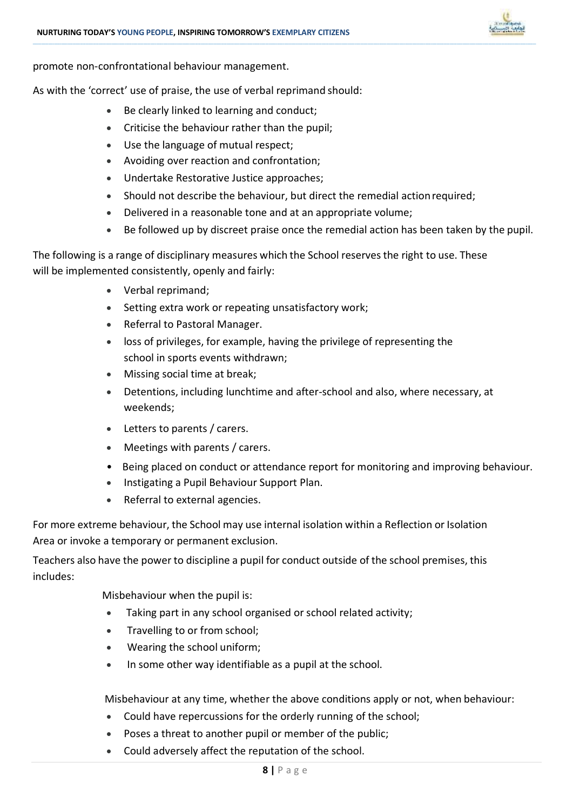

promote non-confrontational behaviour management.

As with the 'correct' use of praise, the use of verbal reprimand should:

- Be clearly linked to learning and conduct;
- Criticise the behaviour rather than the pupil;
- Use the language of mutual respect;
- Avoiding over reaction and confrontation;
- Undertake Restorative Justice approaches;
- Should not describe the behaviour, but direct the remedial action required;

**\_\_\_\_\_\_\_\_\_\_\_\_\_\_\_\_\_\_\_\_\_\_\_\_\_\_\_\_\_\_\_\_\_\_\_\_\_\_\_\_\_\_\_\_\_\_\_\_\_\_\_\_\_\_\_\_\_\_\_\_\_\_\_\_\_\_\_\_\_\_\_\_\_\_\_\_\_\_\_\_\_\_\_\_\_\_\_\_\_\_\_\_\_\_\_\_\_\_\_\_\_\_\_\_\_\_\_\_\_\_\_\_\_\_\_\_\_\_\_\_\_\_\_\_\_\_\_\_\_\_\_\_\_\_\_\_\_\_\_\_\_\_\_\_\_\_\_\_\_\_\_\_\_\_\_\_\_\_\_\_\_\_\_\_\_\_\_\_\_\_\_\_\_\_\_\_\_\_\_\_\_\_\_\_\_\_\_\_\_\_\_\_\_\_\_\_\_\_\_\_\_\_\_\_\_\_\_\_\_\_\_\_\_\_\_\_\_\_\_\_\_\_\_\_\_\_\_\_\_\_\_\_\_\_\_\_\_\_\_\_\_\_\_\_\_\_\_\_\_\_\_\_\_\_\_\_\_\_\_\_\_\_\_\_\_\_\_\_\_\_\_\_\_\_\_\_\_\_\_\_\_\_\_\_\_\_\_\_\_\_\_\_\_\_\_\_\_\_\_\_\_\_\_\_\_\_\_\_\_\_\_\_\_\_\_\_\_\_\_\_\_\_\_\_\_\_\_\_\_\_\_\_\_\_\_\_\_\_\_\_\_\_\_\_\_\_\_\_\_\_**

- Delivered in a reasonable tone and at an appropriate volume;
- Be followed up by discreet praise once the remedial action has been taken by the pupil.

The following is a range of disciplinary measures which the School reservesthe right to use. These will be implemented consistently, openly and fairly:

- Verbal reprimand;
- Setting extra work or repeating unsatisfactory work;
- Referral to Pastoral Manager.
- loss of privileges, for example, having the privilege of representing the school in sports events withdrawn;
- Missing social time at break;
- Detentions, including lunchtime and after-school and also, where necessary, at weekends;
- Letters to parents / carers.
- Meetings with parents / carers.
- Being placed on conduct or attendance report for monitoring and improving behaviour.
- Instigating a Pupil Behaviour Support Plan.
- Referral to external agencies.

For more extreme behaviour, the School may use internal isolation within a Reflection or Isolation Area or invoke a temporary or permanent exclusion.

Teachers also have the power to discipline a pupil for conduct outside of the school premises, this includes:

Misbehaviour when the pupil is:

- Taking part in any school organised or school related activity;
- Travelling to or from school;
- Wearing the school uniform;
- In some other way identifiable as a pupil at the school.

Misbehaviour at any time, whether the above conditions apply or not, when behaviour:

- Could have repercussions for the orderly running of the school;
- Poses a threat to another pupil or member of the public;
- Could adversely affect the reputation of the school.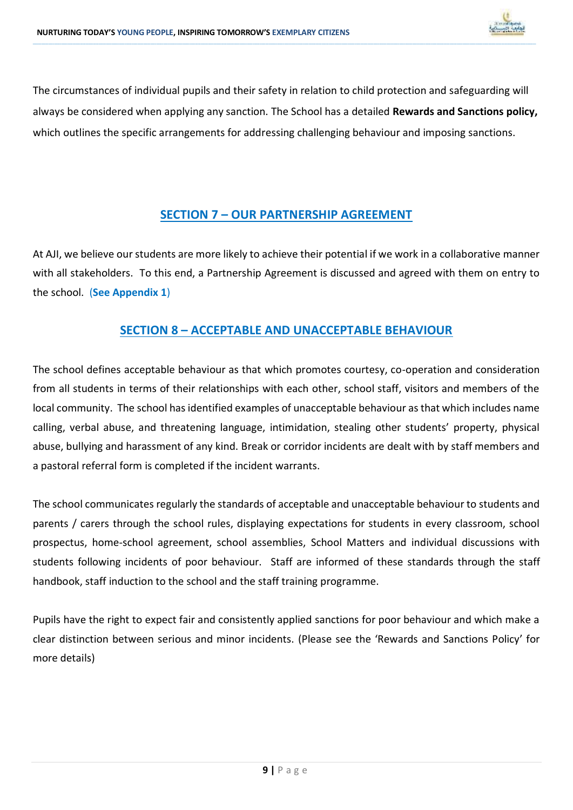

The circumstances of individual pupils and their safety in relation to child protection and safeguarding will always be considered when applying any sanction. The School has a detailed **Rewards and Sanctions policy,** which outlines the specific arrangements for addressing challenging behaviour and imposing sanctions.

**\_\_\_\_\_\_\_\_\_\_\_\_\_\_\_\_\_\_\_\_\_\_\_\_\_\_\_\_\_\_\_\_\_\_\_\_\_\_\_\_\_\_\_\_\_\_\_\_\_\_\_\_\_\_\_\_\_\_\_\_\_\_\_\_\_\_\_\_\_\_\_\_\_\_\_\_\_\_\_\_\_\_\_\_\_\_\_\_\_\_\_\_\_\_\_\_\_\_\_\_\_\_\_\_\_\_\_\_\_\_\_\_\_\_\_\_\_\_\_\_\_\_\_\_\_\_\_\_\_\_\_\_\_\_\_\_\_\_\_\_\_\_\_\_\_\_\_\_\_\_\_\_\_\_\_\_\_\_\_\_\_\_\_\_\_\_\_\_\_\_\_\_\_\_\_\_\_\_\_\_\_\_\_\_\_\_\_\_\_\_\_\_\_\_\_\_\_\_\_\_\_\_\_\_\_\_\_\_\_\_\_\_\_\_\_\_\_\_\_\_\_\_\_\_\_\_\_\_\_\_\_\_\_\_\_\_\_\_\_\_\_\_\_\_\_\_\_\_\_\_\_\_\_\_\_\_\_\_\_\_\_\_\_\_\_\_\_\_\_\_\_\_\_\_\_\_\_\_\_\_\_\_\_\_\_\_\_\_\_\_\_\_\_\_\_\_\_\_\_\_\_\_\_\_\_\_\_\_\_\_\_\_\_\_\_\_\_\_\_\_\_\_\_\_\_\_\_\_\_\_\_\_\_\_\_\_\_\_\_\_\_\_\_\_\_\_\_\_\_\_**

### **SECTION 7 – OUR PARTNERSHIP AGREEMENT**

At AJI, we believe our students are more likely to achieve their potential if we work in a collaborative manner with all stakeholders. To this end, a Partnership Agreement is discussed and agreed with them on entry to the school. (**See Appendix 1**)

### **SECTION 8 – ACCEPTABLE AND UNACCEPTABLE BEHAVIOUR**

The school defines acceptable behaviour as that which promotes courtesy, co-operation and consideration from all students in terms of their relationships with each other, school staff, visitors and members of the local community. The school has identified examples of unacceptable behaviour as that which includes name calling, verbal abuse, and threatening language, intimidation, stealing other students' property, physical abuse, bullying and harassment of any kind. Break or corridor incidents are dealt with by staff members and a pastoral referral form is completed if the incident warrants.

The school communicates regularly the standards of acceptable and unacceptable behaviour to students and parents / carers through the school rules, displaying expectations for students in every classroom, school prospectus, home-school agreement, school assemblies, School Matters and individual discussions with students following incidents of poor behaviour. Staff are informed of these standards through the staff handbook, staff induction to the school and the staff training programme.

Pupils have the right to expect fair and consistently applied sanctions for poor behaviour and which make a clear distinction between serious and minor incidents. (Please see the 'Rewards and Sanctions Policy' for more details)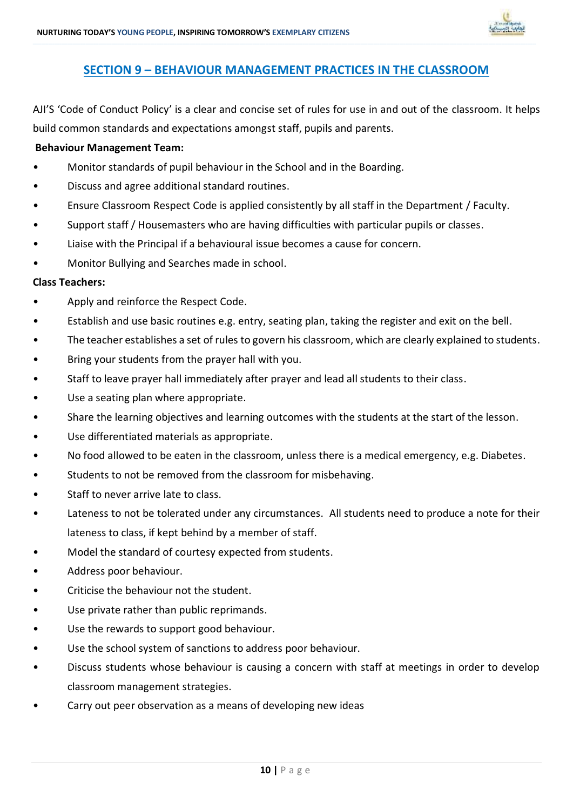

### **SECTION 9 – BEHAVIOUR MANAGEMENT PRACTICES IN THE CLASSROOM**

**\_\_\_\_\_\_\_\_\_\_\_\_\_\_\_\_\_\_\_\_\_\_\_\_\_\_\_\_\_\_\_\_\_\_\_\_\_\_\_\_\_\_\_\_\_\_\_\_\_\_\_\_\_\_\_\_\_\_\_\_\_\_\_\_\_\_\_\_\_\_\_\_\_\_\_\_\_\_\_\_\_\_\_\_\_\_\_\_\_\_\_\_\_\_\_\_\_\_\_\_\_\_\_\_\_\_\_\_\_\_\_\_\_\_\_\_\_\_\_\_\_\_\_\_\_\_\_\_\_\_\_\_\_\_\_\_\_\_\_\_\_\_\_\_\_\_\_\_\_\_\_\_\_\_\_\_\_\_\_\_\_\_\_\_\_\_\_\_\_\_\_\_\_\_\_\_\_\_\_\_\_\_\_\_\_\_\_\_\_\_\_\_\_\_\_\_\_\_\_\_\_\_\_\_\_\_\_\_\_\_\_\_\_\_\_\_\_\_\_\_\_\_\_\_\_\_\_\_\_\_\_\_\_\_\_\_\_\_\_\_\_\_\_\_\_\_\_\_\_\_\_\_\_\_\_\_\_\_\_\_\_\_\_\_\_\_\_\_\_\_\_\_\_\_\_\_\_\_\_\_\_\_\_\_\_\_\_\_\_\_\_\_\_\_\_\_\_\_\_\_\_\_\_\_\_\_\_\_\_\_\_\_\_\_\_\_\_\_\_\_\_\_\_\_\_\_\_\_\_\_\_\_\_\_\_\_\_\_\_\_\_\_\_\_\_\_\_\_\_\_**

AJI'S 'Code of Conduct Policy' is a clear and concise set of rules for use in and out of the classroom. It helps build common standards and expectations amongst staff, pupils and parents.

### **Behaviour Management Team:**

- Monitor standards of pupil behaviour in the School and in the Boarding.
- Discuss and agree additional standard routines.
- Ensure Classroom Respect Code is applied consistently by all staff in the Department / Faculty.
- Support staff / Housemasters who are having difficulties with particular pupils or classes.
- Liaise with the Principal if a behavioural issue becomes a cause for concern.
- Monitor Bullying and Searches made in school.

### **Class Teachers:**

- Apply and reinforce the Respect Code.
- Establish and use basic routines e.g. entry, seating plan, taking the register and exit on the bell.
- The teacher establishes a set of rules to govern his classroom, which are clearly explained to students.
- Bring your students from the prayer hall with you.
- Staff to leave prayer hall immediately after prayer and lead all students to their class.
- Use a seating plan where appropriate.
- Share the learning objectives and learning outcomes with the students at the start of the lesson.
- Use differentiated materials as appropriate.
- No food allowed to be eaten in the classroom, unless there is a medical emergency, e.g. Diabetes.
- Students to not be removed from the classroom for misbehaving.
- Staff to never arrive late to class.
- Lateness to not be tolerated under any circumstances. All students need to produce a note for their lateness to class, if kept behind by a member of staff.
- Model the standard of courtesy expected from students.
- Address poor behaviour.
- Criticise the behaviour not the student.
- Use private rather than public reprimands.
- Use the rewards to support good behaviour.
- Use the school system of sanctions to address poor behaviour.
- Discuss students whose behaviour is causing a concern with staff at meetings in order to develop classroom management strategies.
- Carry out peer observation as a means of developing new ideas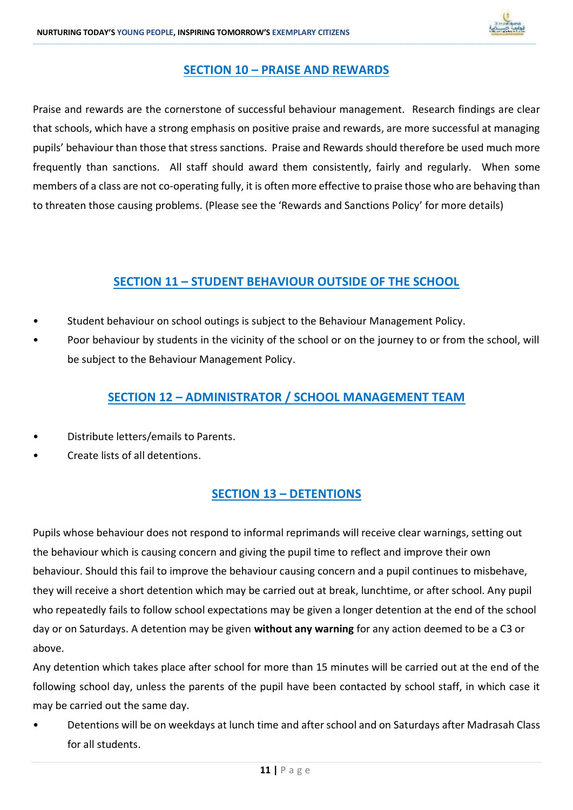

### **SECTION 10 – PRAISE AND REWARDS**

**\_\_\_\_\_\_\_\_\_\_\_\_\_\_\_\_\_\_\_\_\_\_\_\_\_\_\_\_\_\_\_\_\_\_\_\_\_\_\_\_\_\_\_\_\_\_\_\_\_\_\_\_\_\_\_\_\_\_\_\_\_\_\_\_\_\_\_\_\_\_\_\_\_\_\_\_\_\_\_\_\_\_\_\_\_\_\_\_\_\_\_\_\_\_\_\_\_\_\_\_\_\_\_\_\_\_\_\_\_\_\_\_\_\_\_\_\_\_\_\_\_\_\_\_\_\_\_\_\_\_\_\_\_\_\_\_\_\_\_\_\_\_\_\_\_\_\_\_\_\_\_\_\_\_\_\_\_\_\_\_\_\_\_\_\_\_\_\_\_\_\_\_\_\_\_\_\_\_\_\_\_\_\_\_\_\_\_\_\_\_\_\_\_\_\_\_\_\_\_\_\_\_\_\_\_\_\_\_\_\_\_\_\_\_\_\_\_\_\_\_\_\_\_\_\_\_\_\_\_\_\_\_\_\_\_\_\_\_\_\_\_\_\_\_\_\_\_\_\_\_\_\_\_\_\_\_\_\_\_\_\_\_\_\_\_\_\_\_\_\_\_\_\_\_\_\_\_\_\_\_\_\_\_\_\_\_\_\_\_\_\_\_\_\_\_\_\_\_\_\_\_\_\_\_\_\_\_\_\_\_\_\_\_\_\_\_\_\_\_\_\_\_\_\_\_\_\_\_\_\_\_\_\_\_\_\_\_\_\_\_\_\_\_\_\_\_\_\_\_\_**

Praise and rewards are the cornerstone of successful behaviour management. Research findings are clear that schools, which have a strong emphasis on positive praise and rewards, are more successful at managing pupils' behaviour than those that stress sanctions. Praise and Rewards should therefore be used much more frequently than sanctions. All staff should award them consistently, fairly and regularly. When some members of a class are not co-operating fully, it is often more effective to praise those who are behaving than to threaten those causing problems. (Please see the 'Rewards and Sanctions Policy' for more details)

### **SECTION 11 – STUDENT BEHAVIOUR OUTSIDE OF THE SCHOOL**

- Student behaviour on school outings is subject to the Behaviour Management Policy.
- Poor behaviour by students in the vicinity of the school or on the journey to or from the school, will be subject to the Behaviour Management Policy.

### **SECTION 12 – ADMINISTRATOR / SCHOOL MANAGEMENT TEAM**

- Distribute letters/emails to Parents.
- Create lists of all detentions.

### **SECTION 13 – DETENTIONS**

Pupils whose behaviour does not respond to informal reprimands will receive clear warnings, setting out the behaviour which is causing concern and giving the pupil time to reflect and improve their own behaviour. Should this fail to improve the behaviour causing concern and a pupil continues to misbehave, they will receive a short detention which may be carried out at break, lunchtime, or after school. Any pupil who repeatedly fails to follow school expectations may be given a longer detention at the end of the school day or on Saturdays. A detention may be given **without any warning** for any action deemed to be a C3 or above.

Any detention which takes place after school for more than 15 minutes will be carried out at the end of the following school day, unless the parents of the pupil have been contacted by school staff, in which case it may be carried out the same day.

• Detentions will be on weekdays at lunch time and after school and on Saturdays after Madrasah Class for all students.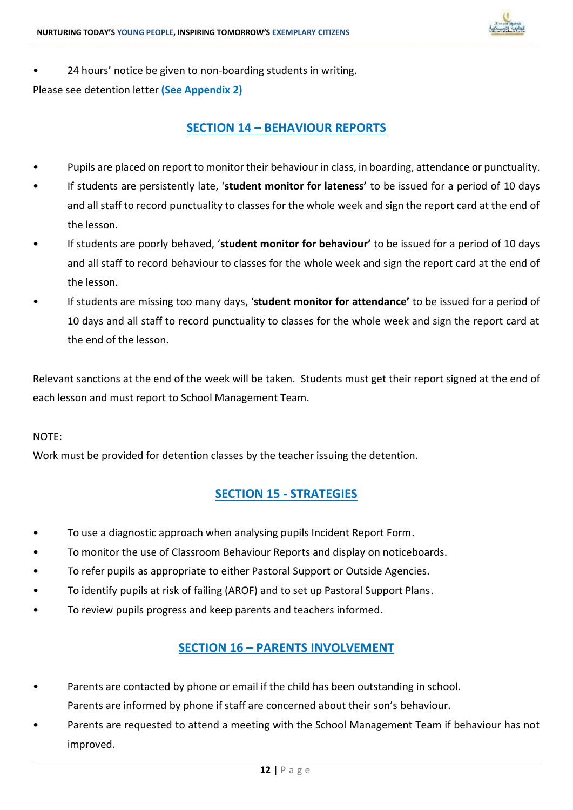

• 24 hours' notice be given to non-boarding students in writing.

Please see detention letter **(See Appendix 2)**

### **SECTION 14 – BEHAVIOUR REPORTS**

**\_\_\_\_\_\_\_\_\_\_\_\_\_\_\_\_\_\_\_\_\_\_\_\_\_\_\_\_\_\_\_\_\_\_\_\_\_\_\_\_\_\_\_\_\_\_\_\_\_\_\_\_\_\_\_\_\_\_\_\_\_\_\_\_\_\_\_\_\_\_\_\_\_\_\_\_\_\_\_\_\_\_\_\_\_\_\_\_\_\_\_\_\_\_\_\_\_\_\_\_\_\_\_\_\_\_\_\_\_\_\_\_\_\_\_\_\_\_\_\_\_\_\_\_\_\_\_\_\_\_\_\_\_\_\_\_\_\_\_\_\_\_\_\_\_\_\_\_\_\_\_\_\_\_\_\_\_\_\_\_\_\_\_\_\_\_\_\_\_\_\_\_\_\_\_\_\_\_\_\_\_\_\_\_\_\_\_\_\_\_\_\_\_\_\_\_\_\_\_\_\_\_\_\_\_\_\_\_\_\_\_\_\_\_\_\_\_\_\_\_\_\_\_\_\_\_\_\_\_\_\_\_\_\_\_\_\_\_\_\_\_\_\_\_\_\_\_\_\_\_\_\_\_\_\_\_\_\_\_\_\_\_\_\_\_\_\_\_\_\_\_\_\_\_\_\_\_\_\_\_\_\_\_\_\_\_\_\_\_\_\_\_\_\_\_\_\_\_\_\_\_\_\_\_\_\_\_\_\_\_\_\_\_\_\_\_\_\_\_\_\_\_\_\_\_\_\_\_\_\_\_\_\_\_\_\_\_\_\_\_\_\_\_\_\_\_\_\_\_\_**

- Pupils are placed on report to monitor their behaviour in class, in boarding, attendance or punctuality.
- If students are persistently late, '**student monitor for lateness'** to be issued for a period of 10 days and all staff to record punctuality to classes for the whole week and sign the report card at the end of the lesson.
- If students are poorly behaved, '**student monitor for behaviour'** to be issued for a period of 10 days and all staff to record behaviour to classes for the whole week and sign the report card at the end of the lesson.
- If students are missing too many days, '**student monitor for attendance'** to be issued for a period of 10 days and all staff to record punctuality to classes for the whole week and sign the report card at the end of the lesson.

Relevant sanctions at the end of the week will be taken. Students must get their report signed at the end of each lesson and must report to School Management Team.

### NOTE:

Work must be provided for detention classes by the teacher issuing the detention.

### **SECTION 15 - STRATEGIES**

- To use a diagnostic approach when analysing pupils Incident Report Form.
- To monitor the use of Classroom Behaviour Reports and display on noticeboards.
- To refer pupils as appropriate to either Pastoral Support or Outside Agencies.
- To identify pupils at risk of failing (AROF) and to set up Pastoral Support Plans.
- To review pupils progress and keep parents and teachers informed.

### **SECTION 16 – PARENTS INVOLVEMENT**

- Parents are contacted by phone or email if the child has been outstanding in school.
- Parents are informed by phone if staff are concerned about their son's behaviour.
- Parents are requested to attend a meeting with the School Management Team if behaviour has not improved.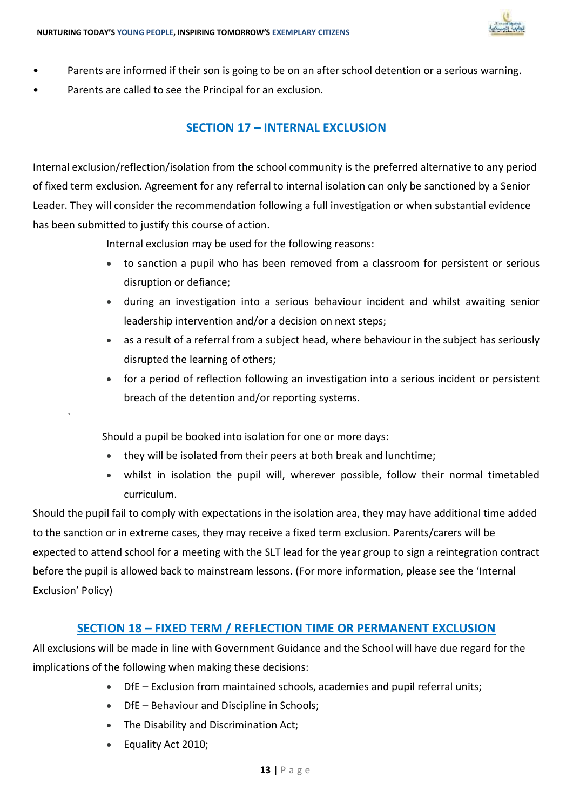

• Parents are informed if their son is going to be on an after school detention or a serious warning.

**\_\_\_\_\_\_\_\_\_\_\_\_\_\_\_\_\_\_\_\_\_\_\_\_\_\_\_\_\_\_\_\_\_\_\_\_\_\_\_\_\_\_\_\_\_\_\_\_\_\_\_\_\_\_\_\_\_\_\_\_\_\_\_\_\_\_\_\_\_\_\_\_\_\_\_\_\_\_\_\_\_\_\_\_\_\_\_\_\_\_\_\_\_\_\_\_\_\_\_\_\_\_\_\_\_\_\_\_\_\_\_\_\_\_\_\_\_\_\_\_\_\_\_\_\_\_\_\_\_\_\_\_\_\_\_\_\_\_\_\_\_\_\_\_\_\_\_\_\_\_\_\_\_\_\_\_\_\_\_\_\_\_\_\_\_\_\_\_\_\_\_\_\_\_\_\_\_\_\_\_\_\_\_\_\_\_\_\_\_\_\_\_\_\_\_\_\_\_\_\_\_\_\_\_\_\_\_\_\_\_\_\_\_\_\_\_\_\_\_\_\_\_\_\_\_\_\_\_\_\_\_\_\_\_\_\_\_\_\_\_\_\_\_\_\_\_\_\_\_\_\_\_\_\_\_\_\_\_\_\_\_\_\_\_\_\_\_\_\_\_\_\_\_\_\_\_\_\_\_\_\_\_\_\_\_\_\_\_\_\_\_\_\_\_\_\_\_\_\_\_\_\_\_\_\_\_\_\_\_\_\_\_\_\_\_\_\_\_\_\_\_\_\_\_\_\_\_\_\_\_\_\_\_\_\_\_\_\_\_\_\_\_\_\_\_\_\_\_\_\_**

Parents are called to see the Principal for an exclusion.

### **SECTION 17 – INTERNAL EXCLUSION**

Internal exclusion/reflection/isolation from the school community is the preferred alternative to any period of fixed term exclusion. Agreement for any referral to internal isolation can only be sanctioned by a Senior Leader. They will consider the recommendation following a full investigation or when substantial evidence has been submitted to justify this course of action.

Internal exclusion may be used for the following reasons:

- to sanction a pupil who has been removed from a classroom for persistent or serious disruption or defiance;
- during an investigation into a serious behaviour incident and whilst awaiting senior leadership intervention and/or a decision on next steps;
- as a result of a referral from a subject head, where behaviour in the subject has seriously disrupted the learning of others;
- for a period of reflection following an investigation into a serious incident or persistent breach of the detention and/or reporting systems.

Should a pupil be booked into isolation for one or more days:

- they will be isolated from their peers at both break and lunchtime;
- whilst in isolation the pupil will, wherever possible, follow their normal timetabled curriculum.

Should the pupil fail to comply with expectations in the isolation area, they may have additional time added to the sanction or in extreme cases, they may receive a fixed term exclusion. Parents/carers will be expected to attend school for a meeting with the SLT lead for the year group to sign a reintegration contract before the pupil is allowed back to mainstream lessons. (For more information, please see the 'Internal Exclusion' Policy)

### **SECTION 18 – FIXED TERM / REFLECTION TIME OR PERMANENT EXCLUSION**

All exclusions will be made in line with Government Guidance and the School will have due regard for the implications of the following when making these decisions:

- DfE Exclusion from maintained schools, academies and pupil referral units;
- DfE Behaviour and Discipline in Schools;
- The Disability and Discrimination Act;
- Equality Act 2010;

`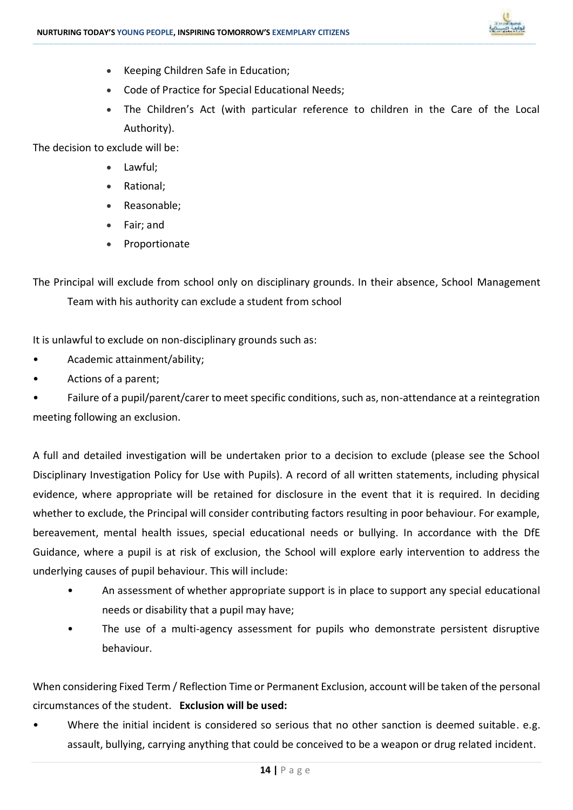

- Keeping Children Safe in Education;
- Code of Practice for Special Educational Needs;
- The Children's Act (with particular reference to children in the Care of the Local Authority).

The decision to exclude will be:

- Lawful;
- Rational;
- Reasonable;
- Fair; and
- Proportionate

The Principal will exclude from school only on disciplinary grounds. In their absence, School Management Team with his authority can exclude a student from school

**\_\_\_\_\_\_\_\_\_\_\_\_\_\_\_\_\_\_\_\_\_\_\_\_\_\_\_\_\_\_\_\_\_\_\_\_\_\_\_\_\_\_\_\_\_\_\_\_\_\_\_\_\_\_\_\_\_\_\_\_\_\_\_\_\_\_\_\_\_\_\_\_\_\_\_\_\_\_\_\_\_\_\_\_\_\_\_\_\_\_\_\_\_\_\_\_\_\_\_\_\_\_\_\_\_\_\_\_\_\_\_\_\_\_\_\_\_\_\_\_\_\_\_\_\_\_\_\_\_\_\_\_\_\_\_\_\_\_\_\_\_\_\_\_\_\_\_\_\_\_\_\_\_\_\_\_\_\_\_\_\_\_\_\_\_\_\_\_\_\_\_\_\_\_\_\_\_\_\_\_\_\_\_\_\_\_\_\_\_\_\_\_\_\_\_\_\_\_\_\_\_\_\_\_\_\_\_\_\_\_\_\_\_\_\_\_\_\_\_\_\_\_\_\_\_\_\_\_\_\_\_\_\_\_\_\_\_\_\_\_\_\_\_\_\_\_\_\_\_\_\_\_\_\_\_\_\_\_\_\_\_\_\_\_\_\_\_\_\_\_\_\_\_\_\_\_\_\_\_\_\_\_\_\_\_\_\_\_\_\_\_\_\_\_\_\_\_\_\_\_\_\_\_\_\_\_\_\_\_\_\_\_\_\_\_\_\_\_\_\_\_\_\_\_\_\_\_\_\_\_\_\_\_\_\_\_\_\_\_\_\_\_\_\_\_\_\_\_\_\_**

It is unlawful to exclude on non-disciplinary grounds such as:

- Academic attainment/ability;
- Actions of a parent;

• Failure of a pupil/parent/carer to meet specific conditions, such as, non-attendance at a reintegration meeting following an exclusion.

A full and detailed investigation will be undertaken prior to a decision to exclude (please see the School Disciplinary Investigation Policy for Use with Pupils). A record of all written statements, including physical evidence, where appropriate will be retained for disclosure in the event that it is required. In deciding whether to exclude, the Principal will consider contributing factors resulting in poor behaviour. For example, bereavement, mental health issues, special educational needs or bullying. In accordance with the DfE Guidance, where a pupil is at risk of exclusion, the School will explore early intervention to address the underlying causes of pupil behaviour. This will include:

- An assessment of whether appropriate support is in place to support any special educational needs or disability that a pupil may have;
- The use of a multi-agency assessment for pupils who demonstrate persistent disruptive behaviour.

When considering Fixed Term / Reflection Time or Permanent Exclusion, account will be taken of the personal circumstances of the student. **Exclusion will be used:**

Where the initial incident is considered so serious that no other sanction is deemed suitable. e.g. assault, bullying, carrying anything that could be conceived to be a weapon or drug related incident.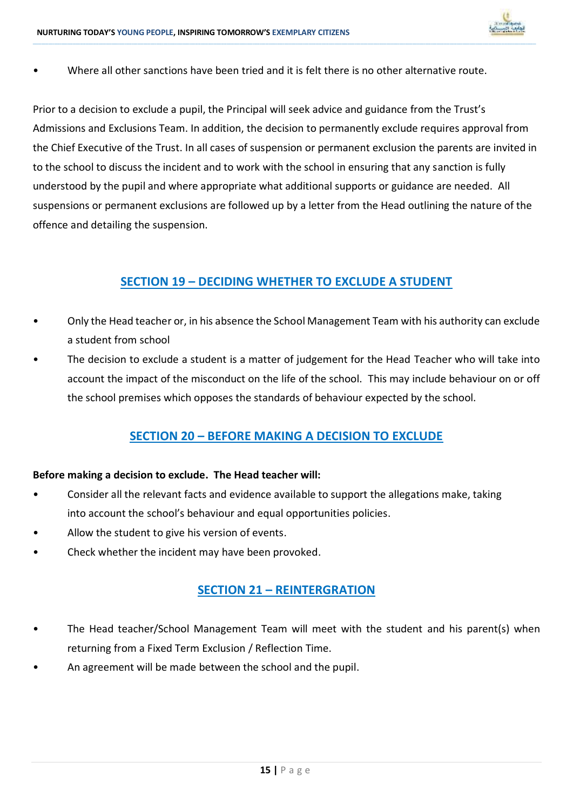

• Where all other sanctions have been tried and it is felt there is no other alternative route.

Prior to a decision to exclude a pupil, the Principal will seek advice and guidance from the Trust's Admissions and Exclusions Team. In addition, the decision to permanently exclude requires approval from the Chief Executive of the Trust. In all cases of suspension or permanent exclusion the parents are invited in to the school to discuss the incident and to work with the school in ensuring that any sanction is fully understood by the pupil and where appropriate what additional supports or guidance are needed. All suspensions or permanent exclusions are followed up by a letter from the Head outlining the nature of the offence and detailing the suspension.

**\_\_\_\_\_\_\_\_\_\_\_\_\_\_\_\_\_\_\_\_\_\_\_\_\_\_\_\_\_\_\_\_\_\_\_\_\_\_\_\_\_\_\_\_\_\_\_\_\_\_\_\_\_\_\_\_\_\_\_\_\_\_\_\_\_\_\_\_\_\_\_\_\_\_\_\_\_\_\_\_\_\_\_\_\_\_\_\_\_\_\_\_\_\_\_\_\_\_\_\_\_\_\_\_\_\_\_\_\_\_\_\_\_\_\_\_\_\_\_\_\_\_\_\_\_\_\_\_\_\_\_\_\_\_\_\_\_\_\_\_\_\_\_\_\_\_\_\_\_\_\_\_\_\_\_\_\_\_\_\_\_\_\_\_\_\_\_\_\_\_\_\_\_\_\_\_\_\_\_\_\_\_\_\_\_\_\_\_\_\_\_\_\_\_\_\_\_\_\_\_\_\_\_\_\_\_\_\_\_\_\_\_\_\_\_\_\_\_\_\_\_\_\_\_\_\_\_\_\_\_\_\_\_\_\_\_\_\_\_\_\_\_\_\_\_\_\_\_\_\_\_\_\_\_\_\_\_\_\_\_\_\_\_\_\_\_\_\_\_\_\_\_\_\_\_\_\_\_\_\_\_\_\_\_\_\_\_\_\_\_\_\_\_\_\_\_\_\_\_\_\_\_\_\_\_\_\_\_\_\_\_\_\_\_\_\_\_\_\_\_\_\_\_\_\_\_\_\_\_\_\_\_\_\_\_\_\_\_\_\_\_\_\_\_\_\_\_\_\_\_**

### **SECTION 19 – DECIDING WHETHER TO EXCLUDE A STUDENT**

- Only the Head teacher or, in his absence the School Management Team with his authority can exclude a student from school
- The decision to exclude a student is a matter of judgement for the Head Teacher who will take into account the impact of the misconduct on the life of the school. This may include behaviour on or off the school premises which opposes the standards of behaviour expected by the school.

### **SECTION 20 – BEFORE MAKING A DECISION TO EXCLUDE**

### **Before making a decision to exclude. The Head teacher will:**

- Consider all the relevant facts and evidence available to support the allegations make, taking into account the school's behaviour and equal opportunities policies.
- Allow the student to give his version of events.
- Check whether the incident may have been provoked.

### **SECTION 21 – REINTERGRATION**

- The Head teacher/School Management Team will meet with the student and his parent(s) when returning from a Fixed Term Exclusion / Reflection Time.
- An agreement will be made between the school and the pupil.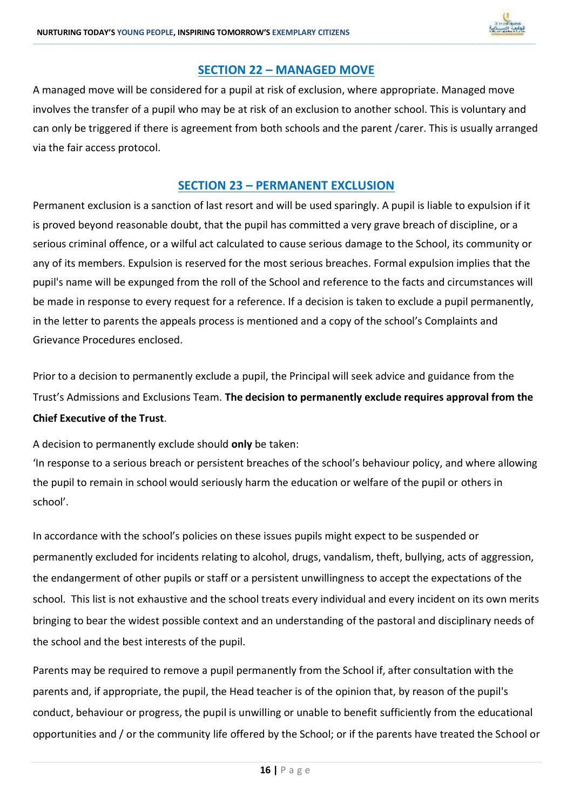

### **SECTION 22 – MANAGED MOVE**

**\_\_\_\_\_\_\_\_\_\_\_\_\_\_\_\_\_\_\_\_\_\_\_\_\_\_\_\_\_\_\_\_\_\_\_\_\_\_\_\_\_\_\_\_\_\_\_\_\_\_\_\_\_\_\_\_\_\_\_\_\_\_\_\_\_\_\_\_\_\_\_\_\_\_\_\_\_\_\_\_\_\_\_\_\_\_\_\_\_\_\_\_\_\_\_\_\_\_\_\_\_\_\_\_\_\_\_\_\_\_\_\_\_\_\_\_\_\_\_\_\_\_\_\_\_\_\_\_\_\_\_\_\_\_\_\_\_\_\_\_\_\_\_\_\_\_\_\_\_\_\_\_\_\_\_\_\_\_\_\_\_\_\_\_\_\_\_\_\_\_\_\_\_\_\_\_\_\_\_\_\_\_\_\_\_\_\_\_\_\_\_\_\_\_\_\_\_\_\_\_\_\_\_\_\_\_\_\_\_\_\_\_\_\_\_\_\_\_\_\_\_\_\_\_\_\_\_\_\_\_\_\_\_\_\_\_\_\_\_\_\_\_\_\_\_\_\_\_\_\_\_\_\_\_\_\_\_\_\_\_\_\_\_\_\_\_\_\_\_\_\_\_\_\_\_\_\_\_\_\_\_\_\_\_\_\_\_\_\_\_\_\_\_\_\_\_\_\_\_\_\_\_\_\_\_\_\_\_\_\_\_\_\_\_\_\_\_\_\_\_\_\_\_\_\_\_\_\_\_\_\_\_\_\_\_\_\_\_\_\_\_\_\_\_\_\_\_\_\_\_**

A managed move will be considered for a pupil at risk of exclusion, where appropriate. Managed move involves the transfer of a pupil who may be at risk of an exclusion to another school. This is voluntary and can only be triggered if there is agreement from both schools and the parent /carer. This is usually arranged via the fair access protocol.

### **SECTION 23 – PERMANENT EXCLUSION**

Permanent exclusion is a sanction of last resort and will be used sparingly. A pupil is liable to expulsion if it is proved beyond reasonable doubt, that the pupil has committed a very grave breach of discipline, or a serious criminal offence, or a wilful act calculated to cause serious damage to the School, its community or any of its members. Expulsion is reserved for the most serious breaches. Formal expulsion implies that the pupil's name will be expunged from the roll of the School and reference to the facts and circumstances will be made in response to every request for a reference. If a decision is taken to exclude a pupil permanently, in the letter to parents the appeals process is mentioned and a copy of the school's Complaints and Grievance Procedures enclosed.

Prior to a decision to permanently exclude a pupil, the Principal will seek advice and guidance from the Trust's Admissions and Exclusions Team. **The decision to permanently exclude requires approval from the Chief Executive of the Trust**.

A decision to permanently exclude should **only** be taken:

'In response to a serious breach or persistent breaches of the school's behaviour policy, and where allowing the pupil to remain in school would seriously harm the education or welfare of the pupil or others in school'.

In accordance with the school's policies on these issues pupils might expect to be suspended or permanently excluded for incidents relating to alcohol, drugs, vandalism, theft, bullying, acts of aggression, the endangerment of other pupils or staff or a persistent unwillingness to accept the expectations of the school. This list is not exhaustive and the school treats every individual and every incident on its own merits bringing to bear the widest possible context and an understanding of the pastoral and disciplinary needs of the school and the best interests of the pupil.

Parents may be required to remove a pupil permanently from the School if, after consultation with the parents and, if appropriate, the pupil, the Head teacher is of the opinion that, by reason of the pupil's conduct, behaviour or progress, the pupil is unwilling or unable to benefit sufficiently from the educational opportunities and / or the community life offered by the School; or if the parents have treated the School or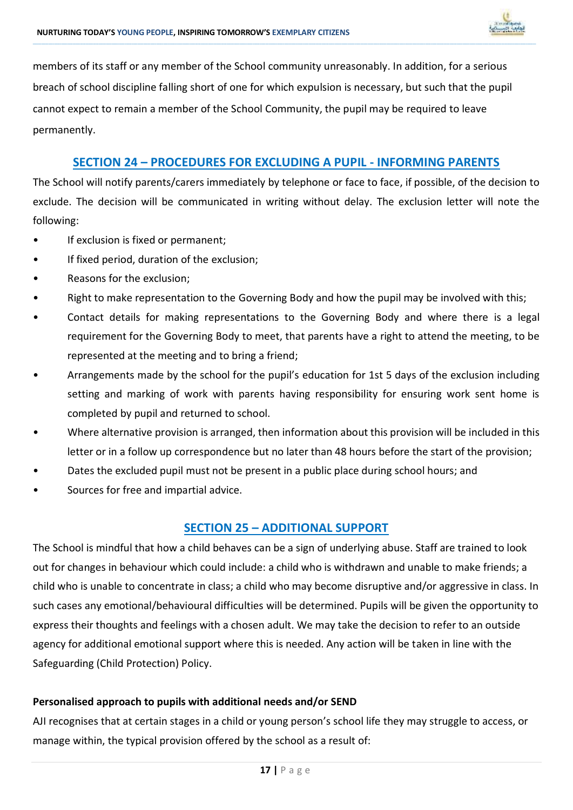

members of its staff or any member of the School community unreasonably. In addition, for a serious breach of school discipline falling short of one for which expulsion is necessary, but such that the pupil cannot expect to remain a member of the School Community, the pupil may be required to leave permanently.

**\_\_\_\_\_\_\_\_\_\_\_\_\_\_\_\_\_\_\_\_\_\_\_\_\_\_\_\_\_\_\_\_\_\_\_\_\_\_\_\_\_\_\_\_\_\_\_\_\_\_\_\_\_\_\_\_\_\_\_\_\_\_\_\_\_\_\_\_\_\_\_\_\_\_\_\_\_\_\_\_\_\_\_\_\_\_\_\_\_\_\_\_\_\_\_\_\_\_\_\_\_\_\_\_\_\_\_\_\_\_\_\_\_\_\_\_\_\_\_\_\_\_\_\_\_\_\_\_\_\_\_\_\_\_\_\_\_\_\_\_\_\_\_\_\_\_\_\_\_\_\_\_\_\_\_\_\_\_\_\_\_\_\_\_\_\_\_\_\_\_\_\_\_\_\_\_\_\_\_\_\_\_\_\_\_\_\_\_\_\_\_\_\_\_\_\_\_\_\_\_\_\_\_\_\_\_\_\_\_\_\_\_\_\_\_\_\_\_\_\_\_\_\_\_\_\_\_\_\_\_\_\_\_\_\_\_\_\_\_\_\_\_\_\_\_\_\_\_\_\_\_\_\_\_\_\_\_\_\_\_\_\_\_\_\_\_\_\_\_\_\_\_\_\_\_\_\_\_\_\_\_\_\_\_\_\_\_\_\_\_\_\_\_\_\_\_\_\_\_\_\_\_\_\_\_\_\_\_\_\_\_\_\_\_\_\_\_\_\_\_\_\_\_\_\_\_\_\_\_\_\_\_\_\_\_\_\_\_\_\_\_\_\_\_\_\_\_\_\_\_**

### **SECTION 24 – PROCEDURES FOR EXCLUDING A PUPIL - INFORMING PARENTS**

The School will notify parents/carers immediately by telephone or face to face, if possible, of the decision to exclude. The decision will be communicated in writing without delay. The exclusion letter will note the following:

- If exclusion is fixed or permanent;
- If fixed period, duration of the exclusion;
- Reasons for the exclusion;
- Right to make representation to the Governing Body and how the pupil may be involved with this;
- Contact details for making representations to the Governing Body and where there is a legal requirement for the Governing Body to meet, that parents have a right to attend the meeting, to be represented at the meeting and to bring a friend;
- Arrangements made by the school for the pupil's education for 1st 5 days of the exclusion including setting and marking of work with parents having responsibility for ensuring work sent home is completed by pupil and returned to school.
- Where alternative provision is arranged, then information about this provision will be included in this letter or in a follow up correspondence but no later than 48 hours before the start of the provision;
- Dates the excluded pupil must not be present in a public place during school hours; and
- Sources for free and impartial advice.

### **SECTION 25 – ADDITIONAL SUPPORT**

The School is mindful that how a child behaves can be a sign of underlying abuse. Staff are trained to look out for changes in behaviour which could include: a child who is withdrawn and unable to make friends; a child who is unable to concentrate in class; a child who may become disruptive and/or aggressive in class. In such cases any emotional/behavioural difficulties will be determined. Pupils will be given the opportunity to express their thoughts and feelings with a chosen adult. We may take the decision to refer to an outside agency for additional emotional support where this is needed. Any action will be taken in line with the Safeguarding (Child Protection) Policy.

### **Personalised approach to pupils with additional needs and/or SEND**

AJI recognises that at certain stages in a child or young person's school life they may struggle to access, or manage within, the typical provision offered by the school as a result of: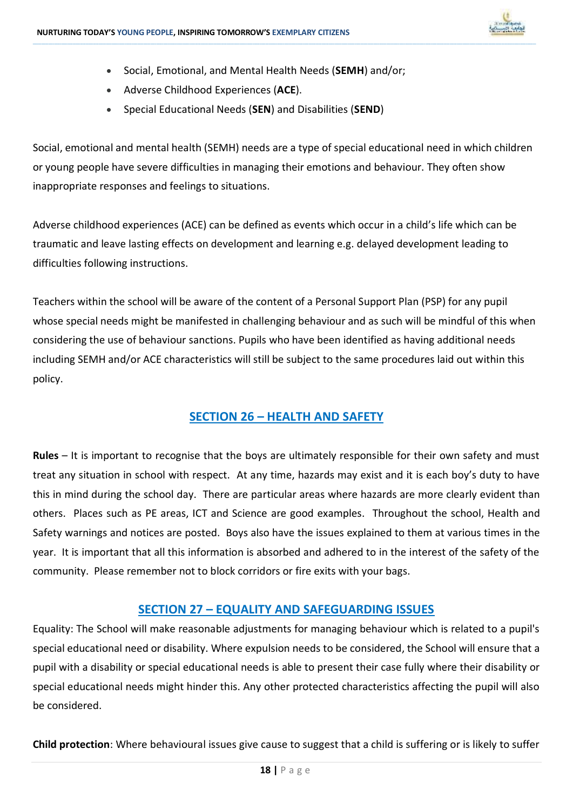

- Social, Emotional, and Mental Health Needs (**SEMH**) and/or;
- Adverse Childhood Experiences (**ACE**).
- Special Educational Needs (**SEN**) and Disabilities (**SEND**)

Social, emotional and mental health (SEMH) needs are a type of special educational need in which children or young people have severe difficulties in managing their emotions and behaviour. They often show inappropriate responses and feelings to situations.

**\_\_\_\_\_\_\_\_\_\_\_\_\_\_\_\_\_\_\_\_\_\_\_\_\_\_\_\_\_\_\_\_\_\_\_\_\_\_\_\_\_\_\_\_\_\_\_\_\_\_\_\_\_\_\_\_\_\_\_\_\_\_\_\_\_\_\_\_\_\_\_\_\_\_\_\_\_\_\_\_\_\_\_\_\_\_\_\_\_\_\_\_\_\_\_\_\_\_\_\_\_\_\_\_\_\_\_\_\_\_\_\_\_\_\_\_\_\_\_\_\_\_\_\_\_\_\_\_\_\_\_\_\_\_\_\_\_\_\_\_\_\_\_\_\_\_\_\_\_\_\_\_\_\_\_\_\_\_\_\_\_\_\_\_\_\_\_\_\_\_\_\_\_\_\_\_\_\_\_\_\_\_\_\_\_\_\_\_\_\_\_\_\_\_\_\_\_\_\_\_\_\_\_\_\_\_\_\_\_\_\_\_\_\_\_\_\_\_\_\_\_\_\_\_\_\_\_\_\_\_\_\_\_\_\_\_\_\_\_\_\_\_\_\_\_\_\_\_\_\_\_\_\_\_\_\_\_\_\_\_\_\_\_\_\_\_\_\_\_\_\_\_\_\_\_\_\_\_\_\_\_\_\_\_\_\_\_\_\_\_\_\_\_\_\_\_\_\_\_\_\_\_\_\_\_\_\_\_\_\_\_\_\_\_\_\_\_\_\_\_\_\_\_\_\_\_\_\_\_\_\_\_\_\_\_\_\_\_\_\_\_\_\_\_\_\_\_\_\_\_**

Adverse childhood experiences (ACE) can be defined as events which occur in a child's life which can be traumatic and leave lasting effects on development and learning e.g. delayed development leading to difficulties following instructions.

Teachers within the school will be aware of the content of a Personal Support Plan (PSP) for any pupil whose special needs might be manifested in challenging behaviour and as such will be mindful of this when considering the use of behaviour sanctions. Pupils who have been identified as having additional needs including SEMH and/or ACE characteristics will still be subject to the same procedures laid out within this policy.

### **SECTION 26 – HEALTH AND SAFETY**

**Rules** – It is important to recognise that the boys are ultimately responsible for their own safety and must treat any situation in school with respect. At any time, hazards may exist and it is each boy's duty to have this in mind during the school day. There are particular areas where hazards are more clearly evident than others. Places such as PE areas, ICT and Science are good examples. Throughout the school, Health and Safety warnings and notices are posted. Boys also have the issues explained to them at various times in the year. It is important that all this information is absorbed and adhered to in the interest of the safety of the community. Please remember not to block corridors or fire exits with your bags.

### **SECTION 27 – EQUALITY AND SAFEGUARDING ISSUES**

Equality: The School will make reasonable adjustments for managing behaviour which is related to a pupil's special educational need or disability. Where expulsion needs to be considered, the School will ensure that a pupil with a disability or special educational needs is able to present their case fully where their disability or special educational needs might hinder this. Any other protected characteristics affecting the pupil will also be considered.

**Child protection**: Where behavioural issues give cause to suggest that a child is suffering or is likely to suffer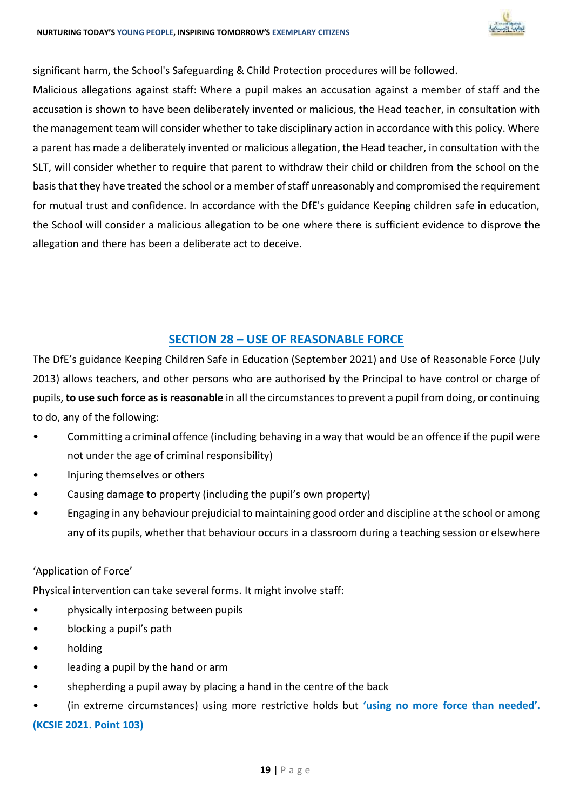

significant harm, the School's Safeguarding & Child Protection procedures will be followed.

Malicious allegations against staff: Where a pupil makes an accusation against a member of staff and the accusation is shown to have been deliberately invented or malicious, the Head teacher, in consultation with the management team will consider whether to take disciplinary action in accordance with this policy. Where a parent has made a deliberately invented or malicious allegation, the Head teacher, in consultation with the SLT, will consider whether to require that parent to withdraw their child or children from the school on the basis that they have treated the school or a member of staff unreasonably and compromised the requirement for mutual trust and confidence. In accordance with the DfE's guidance Keeping children safe in education, the School will consider a malicious allegation to be one where there is sufficient evidence to disprove the allegation and there has been a deliberate act to deceive.

**\_\_\_\_\_\_\_\_\_\_\_\_\_\_\_\_\_\_\_\_\_\_\_\_\_\_\_\_\_\_\_\_\_\_\_\_\_\_\_\_\_\_\_\_\_\_\_\_\_\_\_\_\_\_\_\_\_\_\_\_\_\_\_\_\_\_\_\_\_\_\_\_\_\_\_\_\_\_\_\_\_\_\_\_\_\_\_\_\_\_\_\_\_\_\_\_\_\_\_\_\_\_\_\_\_\_\_\_\_\_\_\_\_\_\_\_\_\_\_\_\_\_\_\_\_\_\_\_\_\_\_\_\_\_\_\_\_\_\_\_\_\_\_\_\_\_\_\_\_\_\_\_\_\_\_\_\_\_\_\_\_\_\_\_\_\_\_\_\_\_\_\_\_\_\_\_\_\_\_\_\_\_\_\_\_\_\_\_\_\_\_\_\_\_\_\_\_\_\_\_\_\_\_\_\_\_\_\_\_\_\_\_\_\_\_\_\_\_\_\_\_\_\_\_\_\_\_\_\_\_\_\_\_\_\_\_\_\_\_\_\_\_\_\_\_\_\_\_\_\_\_\_\_\_\_\_\_\_\_\_\_\_\_\_\_\_\_\_\_\_\_\_\_\_\_\_\_\_\_\_\_\_\_\_\_\_\_\_\_\_\_\_\_\_\_\_\_\_\_\_\_\_\_\_\_\_\_\_\_\_\_\_\_\_\_\_\_\_\_\_\_\_\_\_\_\_\_\_\_\_\_\_\_\_\_\_\_\_\_\_\_\_\_\_\_\_\_\_\_\_**

### **SECTION 28 – USE OF REASONABLE FORCE**

The DfE's guidance Keeping Children Safe in Education (September 2021) and Use of Reasonable Force (July 2013) allows teachers, and other persons who are authorised by the Principal to have control or charge of pupils, **to use such force as is reasonable** in all the circumstances to prevent a pupil from doing, or continuing to do, any of the following:

- Committing a criminal offence (including behaving in a way that would be an offence if the pupil were not under the age of criminal responsibility)
- Injuring themselves or others
- Causing damage to property (including the pupil's own property)
- Engaging in any behaviour prejudicial to maintaining good order and discipline at the school or among any of its pupils, whether that behaviour occurs in a classroom during a teaching session or elsewhere

### 'Application of Force'

Physical intervention can take several forms. It might involve staff:

- physically interposing between pupils
- blocking a pupil's path
- holding
- leading a pupil by the hand or arm
- shepherding a pupil away by placing a hand in the centre of the back
- (in extreme circumstances) using more restrictive holds but **'using no more force than needed'.**

### **(KCSIE 2021. Point 103)**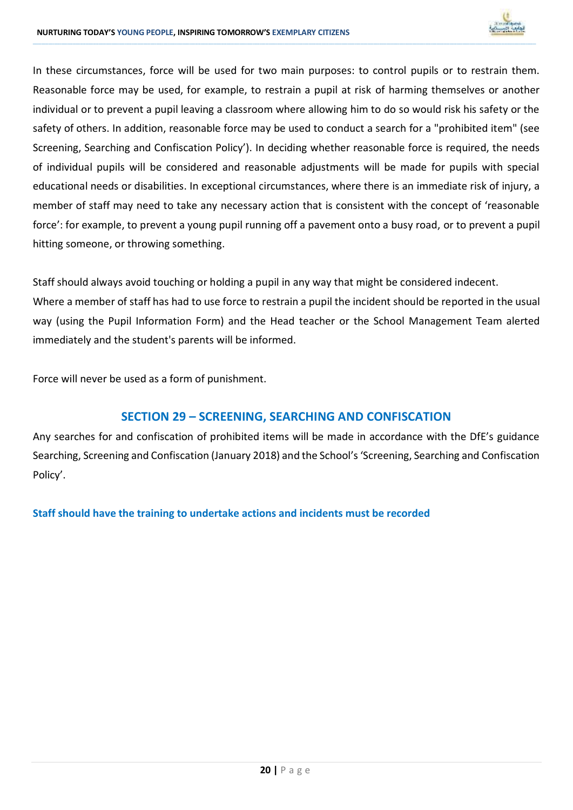

In these circumstances, force will be used for two main purposes: to control pupils or to restrain them. Reasonable force may be used, for example, to restrain a pupil at risk of harming themselves or another individual or to prevent a pupil leaving a classroom where allowing him to do so would risk his safety or the safety of others. In addition, reasonable force may be used to conduct a search for a "prohibited item" (see Screening, Searching and Confiscation Policy'). In deciding whether reasonable force is required, the needs of individual pupils will be considered and reasonable adjustments will be made for pupils with special educational needs or disabilities. In exceptional circumstances, where there is an immediate risk of injury, a member of staff may need to take any necessary action that is consistent with the concept of 'reasonable force': for example, to prevent a young pupil running off a pavement onto a busy road, or to prevent a pupil hitting someone, or throwing something.

**\_\_\_\_\_\_\_\_\_\_\_\_\_\_\_\_\_\_\_\_\_\_\_\_\_\_\_\_\_\_\_\_\_\_\_\_\_\_\_\_\_\_\_\_\_\_\_\_\_\_\_\_\_\_\_\_\_\_\_\_\_\_\_\_\_\_\_\_\_\_\_\_\_\_\_\_\_\_\_\_\_\_\_\_\_\_\_\_\_\_\_\_\_\_\_\_\_\_\_\_\_\_\_\_\_\_\_\_\_\_\_\_\_\_\_\_\_\_\_\_\_\_\_\_\_\_\_\_\_\_\_\_\_\_\_\_\_\_\_\_\_\_\_\_\_\_\_\_\_\_\_\_\_\_\_\_\_\_\_\_\_\_\_\_\_\_\_\_\_\_\_\_\_\_\_\_\_\_\_\_\_\_\_\_\_\_\_\_\_\_\_\_\_\_\_\_\_\_\_\_\_\_\_\_\_\_\_\_\_\_\_\_\_\_\_\_\_\_\_\_\_\_\_\_\_\_\_\_\_\_\_\_\_\_\_\_\_\_\_\_\_\_\_\_\_\_\_\_\_\_\_\_\_\_\_\_\_\_\_\_\_\_\_\_\_\_\_\_\_\_\_\_\_\_\_\_\_\_\_\_\_\_\_\_\_\_\_\_\_\_\_\_\_\_\_\_\_\_\_\_\_\_\_\_\_\_\_\_\_\_\_\_\_\_\_\_\_\_\_\_\_\_\_\_\_\_\_\_\_\_\_\_\_\_\_\_\_\_\_\_\_\_\_\_\_\_\_\_\_\_**

Staff should always avoid touching or holding a pupil in any way that might be considered indecent. Where a member of staff has had to use force to restrain a pupil the incident should be reported in the usual way (using the Pupil Information Form) and the Head teacher or the School Management Team alerted immediately and the student's parents will be informed.

Force will never be used as a form of punishment.

### **SECTION 29 – SCREENING, SEARCHING AND CONFISCATION**

Any searches for and confiscation of prohibited items will be made in accordance with the DfE's guidance Searching, Screening and Confiscation (January 2018) and the School's 'Screening, Searching and Confiscation Policy'.

**Staff should have the training to undertake actions and incidents must be recorded**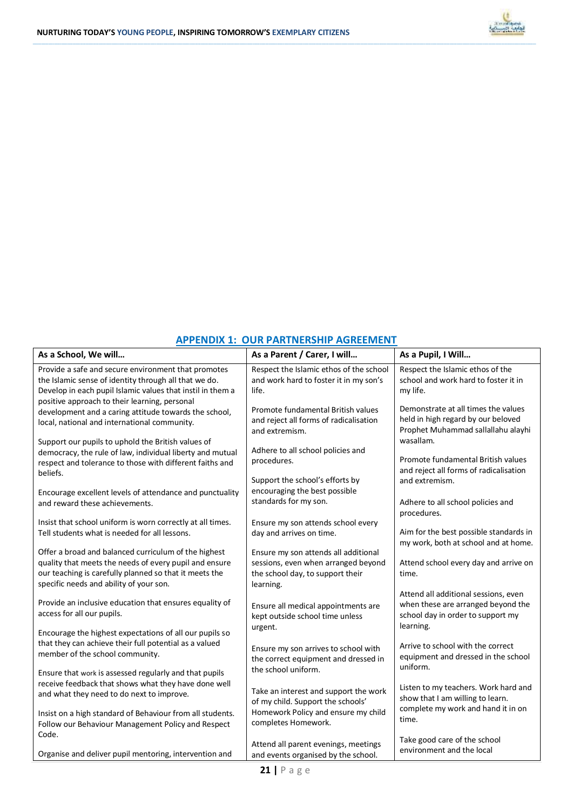

### **APPENDIX 1: OUR PARTNERSHIP AGREEMENT**

**\_\_\_\_\_\_\_\_\_\_\_\_\_\_\_\_\_\_\_\_\_\_\_\_\_\_\_\_\_\_\_\_\_\_\_\_\_\_\_\_\_\_\_\_\_\_\_\_\_\_\_\_\_\_\_\_\_\_\_\_\_\_\_\_\_\_\_\_\_\_\_\_\_\_\_\_\_\_\_\_\_\_\_\_\_\_\_\_\_\_\_\_\_\_\_\_\_\_\_\_\_\_\_\_\_\_\_\_\_\_\_\_\_\_\_\_\_\_\_\_\_\_\_\_\_\_\_\_\_\_\_\_\_\_\_\_\_\_\_\_\_\_\_\_\_\_\_\_\_\_\_\_\_\_\_\_\_\_\_\_\_\_\_\_\_\_\_\_\_\_\_\_\_\_\_\_\_\_\_\_\_\_\_\_\_\_\_\_\_\_\_\_\_\_\_\_\_\_\_\_\_\_\_\_\_\_\_\_\_\_\_\_\_\_\_\_\_\_\_\_\_\_\_\_\_\_\_\_\_\_\_\_\_\_\_\_\_\_\_\_\_\_\_\_\_\_\_\_\_\_\_\_\_\_\_\_\_\_\_\_\_\_\_\_\_\_\_\_\_\_\_\_\_\_\_\_\_\_\_\_\_\_\_\_\_\_\_\_\_\_\_\_\_\_\_\_\_\_\_\_\_\_\_\_\_\_\_\_\_\_\_\_\_\_\_\_\_\_\_\_\_\_\_\_\_\_\_\_\_\_\_\_\_\_\_\_\_\_\_\_\_\_\_\_\_\_\_\_\_\_**

| As a School, We will                                                                                                                                                                                                        | As a Parent / Carer, I will                                                                                                  | As a Pupil, I Will                                                                                                           |
|-----------------------------------------------------------------------------------------------------------------------------------------------------------------------------------------------------------------------------|------------------------------------------------------------------------------------------------------------------------------|------------------------------------------------------------------------------------------------------------------------------|
| Provide a safe and secure environment that promotes<br>the Islamic sense of identity through all that we do.<br>Develop in each pupil Islamic values that instil in them a<br>positive approach to their learning, personal | Respect the Islamic ethos of the school<br>and work hard to foster it in my son's<br>life.                                   | Respect the Islamic ethos of the<br>school and work hard to foster it in<br>my life.                                         |
| development and a caring attitude towards the school,<br>local, national and international community.                                                                                                                       | Promote fundamental British values<br>and reject all forms of radicalisation<br>and extremism.                               | Demonstrate at all times the values<br>held in high regard by our beloved<br>Prophet Muhammad sallallahu alayhi              |
| Support our pupils to uphold the British values of<br>democracy, the rule of law, individual liberty and mutual<br>respect and tolerance to those with different faiths and<br>beliefs.                                     | Adhere to all school policies and<br>procedures.                                                                             | wasallam.<br>Promote fundamental British values<br>and reject all forms of radicalisation                                    |
| Encourage excellent levels of attendance and punctuality<br>and reward these achievements.                                                                                                                                  | Support the school's efforts by<br>encouraging the best possible<br>standards for my son.                                    | and extremism.<br>Adhere to all school policies and<br>procedures.                                                           |
| Insist that school uniform is worn correctly at all times.<br>Tell students what is needed for all lessons.                                                                                                                 | Ensure my son attends school every<br>day and arrives on time.                                                               | Aim for the best possible standards in<br>my work, both at school and at home.                                               |
| Offer a broad and balanced curriculum of the highest<br>quality that meets the needs of every pupil and ensure<br>our teaching is carefully planned so that it meets the<br>specific needs and ability of your son.         | Ensure my son attends all additional<br>sessions, even when arranged beyond<br>the school day, to support their<br>learning. | Attend school every day and arrive on<br>time.                                                                               |
| Provide an inclusive education that ensures equality of<br>access for all our pupils.                                                                                                                                       | Ensure all medical appointments are<br>kept outside school time unless<br>urgent.                                            | Attend all additional sessions, even<br>when these are arranged beyond the<br>school day in order to support my<br>learning. |
| Encourage the highest expectations of all our pupils so<br>that they can achieve their full potential as a valued<br>member of the school community.                                                                        | Ensure my son arrives to school with<br>the correct equipment and dressed in<br>the school uniform.                          | Arrive to school with the correct<br>equipment and dressed in the school<br>uniform.                                         |
| Ensure that work is assessed regularly and that pupils<br>receive feedback that shows what they have done well<br>and what they need to do next to improve.                                                                 | Take an interest and support the work<br>of my child. Support the schools'                                                   | Listen to my teachers. Work hard and<br>show that I am willing to learn.<br>complete my work and hand it in on               |
| Insist on a high standard of Behaviour from all students.<br>Follow our Behaviour Management Policy and Respect<br>Code.                                                                                                    | Homework Policy and ensure my child<br>completes Homework.                                                                   | time.                                                                                                                        |
| Organise and deliver pupil mentoring, intervention and                                                                                                                                                                      | Attend all parent evenings, meetings<br>and events organised by the school.                                                  | Take good care of the school<br>environment and the local                                                                    |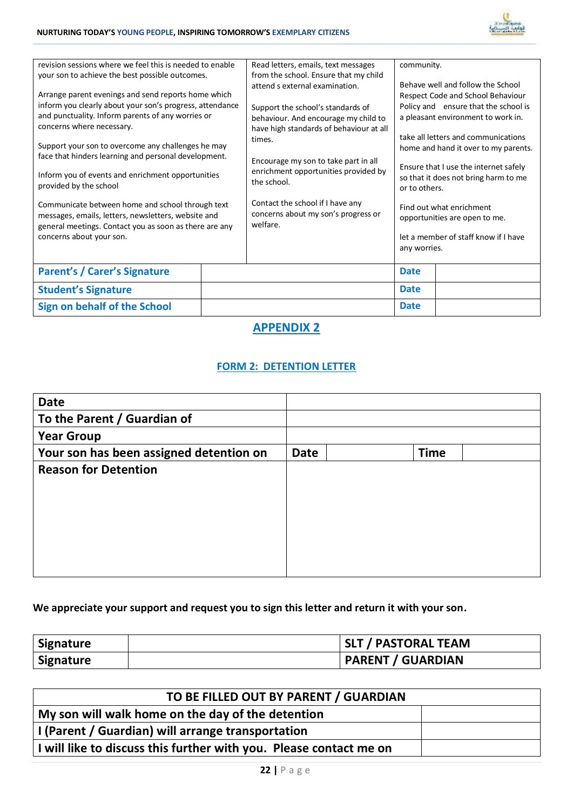

| revision sessions where we feel this is needed to enable<br>your son to achieve the best possible outcomes.<br>Arrange parent evenings and send reports home which<br>inform you clearly about your son's progress, attendance<br>and punctuality. Inform parents of any worries or<br>Support your son to overcome any challenges he may<br>face that hinders learning and personal development.<br>Inform you of events and enrichment opportunities<br>Communicate between home and school through text<br>messages, emails, letters, newsletters, website and<br>general meetings. Contact you as soon as there are any | Read letters, emails, text messages<br>from the school. Ensure that my child<br>attend s external examination.<br>Support the school's standards of<br>behaviour. And encourage my child to<br>have high standards of behaviour at all<br>times.<br>Encourage my son to take part in all<br>enrichment opportunities provided by<br>the school.<br>Contact the school if I have any<br>concerns about my son's progress or<br>welfare. | community.<br>or to others. | Behave well and follow the School<br>Respect Code and School Behaviour<br>Policy and ensure that the school is<br>a pleasant environment to work in.<br>take all letters and communications<br>home and hand it over to my parents.<br>Ensure that I use the internet safely<br>so that it does not bring harm to me<br>Find out what enrichment<br>opportunities are open to me.<br>let a member of staff know if I have |
|-----------------------------------------------------------------------------------------------------------------------------------------------------------------------------------------------------------------------------------------------------------------------------------------------------------------------------------------------------------------------------------------------------------------------------------------------------------------------------------------------------------------------------------------------------------------------------------------------------------------------------|----------------------------------------------------------------------------------------------------------------------------------------------------------------------------------------------------------------------------------------------------------------------------------------------------------------------------------------------------------------------------------------------------------------------------------------|-----------------------------|---------------------------------------------------------------------------------------------------------------------------------------------------------------------------------------------------------------------------------------------------------------------------------------------------------------------------------------------------------------------------------------------------------------------------|
|                                                                                                                                                                                                                                                                                                                                                                                                                                                                                                                                                                                                                             |                                                                                                                                                                                                                                                                                                                                                                                                                                        |                             |                                                                                                                                                                                                                                                                                                                                                                                                                           |
|                                                                                                                                                                                                                                                                                                                                                                                                                                                                                                                                                                                                                             |                                                                                                                                                                                                                                                                                                                                                                                                                                        | <b>Date</b>                 |                                                                                                                                                                                                                                                                                                                                                                                                                           |
|                                                                                                                                                                                                                                                                                                                                                                                                                                                                                                                                                                                                                             |                                                                                                                                                                                                                                                                                                                                                                                                                                        | <b>Date</b>                 |                                                                                                                                                                                                                                                                                                                                                                                                                           |
|                                                                                                                                                                                                                                                                                                                                                                                                                                                                                                                                                                                                                             |                                                                                                                                                                                                                                                                                                                                                                                                                                        | <b>Date</b>                 |                                                                                                                                                                                                                                                                                                                                                                                                                           |
|                                                                                                                                                                                                                                                                                                                                                                                                                                                                                                                                                                                                                             |                                                                                                                                                                                                                                                                                                                                                                                                                                        |                             | any worries.                                                                                                                                                                                                                                                                                                                                                                                                              |

**\_\_\_\_\_\_\_\_\_\_\_\_\_\_\_\_\_\_\_\_\_\_\_\_\_\_\_\_\_\_\_\_\_\_\_\_\_\_\_\_\_\_\_\_\_\_\_\_\_\_\_\_\_\_\_\_\_\_\_\_\_\_\_\_\_\_\_\_\_\_\_\_\_\_\_\_\_\_\_\_\_\_\_\_\_\_\_\_\_\_\_\_\_\_\_\_\_\_\_\_\_\_\_\_\_\_\_\_\_\_\_\_\_\_\_\_\_\_\_\_\_\_\_\_\_\_\_\_\_\_\_\_\_\_\_\_\_\_\_\_\_\_\_\_\_\_\_\_\_\_\_\_\_\_\_\_\_\_\_\_\_\_\_\_\_\_\_\_\_\_\_\_\_\_\_\_\_\_\_\_\_\_\_\_\_\_\_\_\_\_\_\_\_\_\_\_\_\_\_\_\_\_\_\_\_\_\_\_\_\_\_\_\_\_\_\_\_\_\_\_\_\_\_\_\_\_\_\_\_\_\_\_\_\_\_\_\_\_\_\_\_\_\_\_\_\_\_\_\_\_\_\_\_\_\_\_\_\_\_\_\_\_\_\_\_\_\_\_\_\_\_\_\_\_\_\_\_\_\_\_\_\_\_\_\_\_\_\_\_\_\_\_\_\_\_\_\_\_\_\_\_\_\_\_\_\_\_\_\_\_\_\_\_\_\_\_\_\_\_\_\_\_\_\_\_\_\_\_\_\_\_\_\_\_\_\_\_\_\_\_\_\_\_\_\_\_\_\_\_\_**

### **APPENDIX 2**

### **FORM 2: DETENTION LETTER**

| <b>Date</b>                             |             |             |  |
|-----------------------------------------|-------------|-------------|--|
| To the Parent / Guardian of             |             |             |  |
| <b>Year Group</b>                       |             |             |  |
| Your son has been assigned detention on | <b>Date</b> | <b>Time</b> |  |
| <b>Reason for Detention</b>             |             |             |  |
|                                         |             |             |  |
|                                         |             |             |  |
|                                         |             |             |  |
|                                         |             |             |  |
|                                         |             |             |  |
|                                         |             |             |  |

### **We appreciate your support and request you to sign this letter and return it with your son.**

| Signature | SLT / PASTORAL TEAM      |
|-----------|--------------------------|
| Signature | <b>PARENT / GUARDIAN</b> |

| TO BE FILLED OUT BY PARENT / GUARDIAN                              |  |
|--------------------------------------------------------------------|--|
| My son will walk home on the day of the detention                  |  |
| I (Parent / Guardian) will arrange transportation                  |  |
| I will like to discuss this further with you. Please contact me on |  |